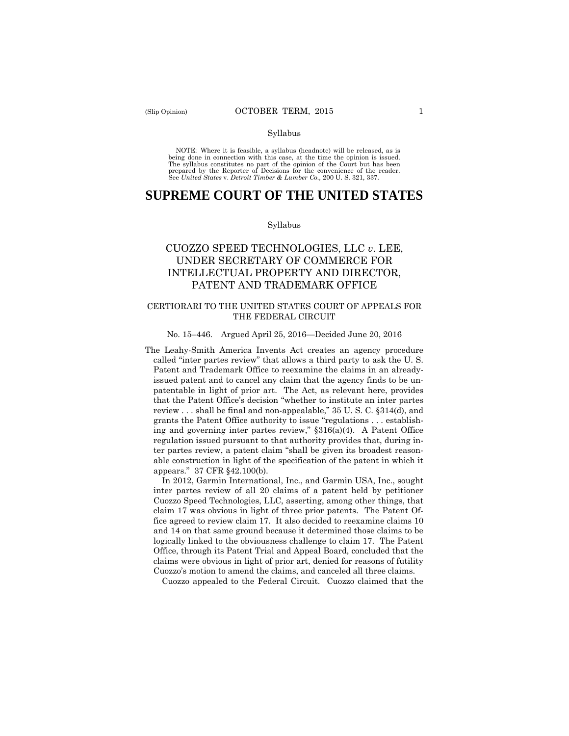NOTE: Where it is feasible, a syllabus (headnote) will be released, as is being done in connection with this case, at the time the opinion is issued. The syllabus constitutes no part of the opinion of the Court but has been<br>prepared by the Reporter of Decisions for the convenience of the reader.<br>See United States v. Detroit Timber & Lumber Co., 200 U.S. 321, 337.

# **SUPREME COURT OF THE UNITED STATES**

#### Syllabus

# PATENT AND TRADEMARK OFFICE CUOZZO SPEED TECHNOLOGIES, LLC *v*. LEE, UNDER SECRETARY OF COMMERCE FOR INTELLECTUAL PROPERTY AND DIRECTOR,

### CERTIORARI TO THE UNITED STATES COURT OF APPEALS FOR THE FEDERAL CIRCUIT

### No. 15–446. Argued April 25, 2016—Decided June 20, 2016

 called "inter partes review" that allows a third party to ask the U. S. ter partes review, a patent claim "shall be given its broadest reason-The Leahy-Smith America Invents Act creates an agency procedure Patent and Trademark Office to reexamine the claims in an alreadyissued patent and to cancel any claim that the agency finds to be unpatentable in light of prior art. The Act, as relevant here, provides that the Patent Office's decision "whether to institute an inter partes review . . . shall be final and non-appealable," 35 U. S. C. §314(d), and grants the Patent Office authority to issue "regulations . . . establishing and governing inter partes review,"  $$316(a)(4)$ . A Patent Office regulation issued pursuant to that authority provides that, during inable construction in light of the specification of the patent in which it appears." 37 CFR §42.100(b).

In 2012, Garmin International, Inc., and Garmin USA, Inc., sought inter partes review of all 20 claims of a patent held by petitioner Cuozzo Speed Technologies, LLC, asserting, among other things, that claim 17 was obvious in light of three prior patents. The Patent Office agreed to review claim 17. It also decided to reexamine claims 10 and 14 on that same ground because it determined those claims to be logically linked to the obviousness challenge to claim 17. The Patent Office, through its Patent Trial and Appeal Board, concluded that the claims were obvious in light of prior art, denied for reasons of futility Cuozzo's motion to amend the claims, and canceled all three claims.

Cuozzo appealed to the Federal Circuit. Cuozzo claimed that the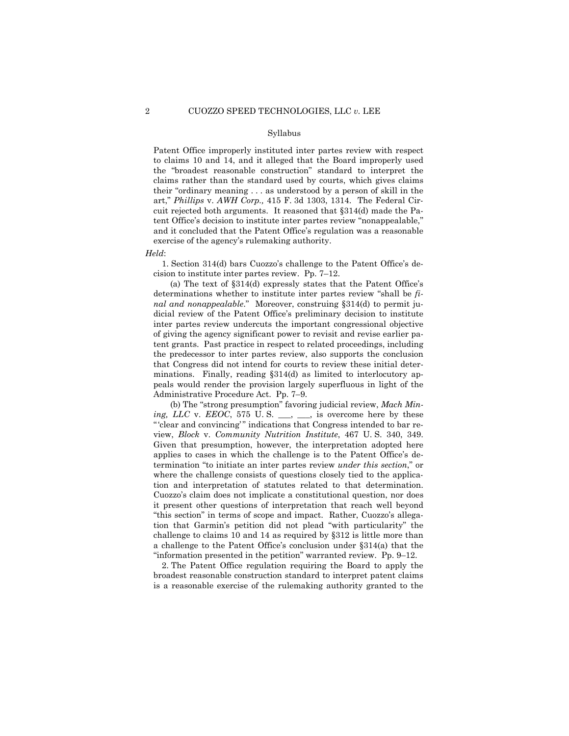to claims 10 and 14, and it alleged that the Board improperly used Patent Office improperly instituted inter partes review with respect the "broadest reasonable construction" standard to interpret the claims rather than the standard used by courts, which gives claims their "ordinary meaning . . . as understood by a person of skill in the art," *Phillips* v. *AWH Corp.,* 415 F. 3d 1303, 1314. The Federal Circuit rejected both arguments. It reasoned that §314(d) made the Patent Office's decision to institute inter partes review "nonappealable," and it concluded that the Patent Office's regulation was a reasonable exercise of the agency's rulemaking authority.

*Held*:

1. Section 314(d) bars Cuozzo's challenge to the Patent Office's decision to institute inter partes review. Pp. 7–12.

(a) The text of §314(d) expressly states that the Patent Office's determinations whether to institute inter partes review "shall be *final and nonappealable*." Moreover, construing §314(d) to permit judicial review of the Patent Office's preliminary decision to institute inter partes review undercuts the important congressional objective of giving the agency significant power to revisit and revise earlier patent grants. Past practice in respect to related proceedings, including the predecessor to inter partes review, also supports the conclusion that Congress did not intend for courts to review these initial determinations. Finally, reading §314(d) as limited to interlocutory appeals would render the provision largely superfluous in light of the Administrative Procedure Act. Pp. 7–9.

(b) The "strong presumption" favoring judicial review, *Mach Mining, LLC* v. *EEOC*, 575 U.S. \_\_, \_\_, is overcome here by these " 'clear and convincing'" indications that Congress intended to bar review, *Block* v. *Community Nutrition Institute*, 467 U. S. 340, 349. Given that presumption, however, the interpretation adopted here applies to cases in which the challenge is to the Patent Office's determination "to initiate an inter partes review *under this section*," or where the challenge consists of questions closely tied to the application and interpretation of statutes related to that determination. Cuozzo's claim does not implicate a constitutional question, nor does it present other questions of interpretation that reach well beyond "this section" in terms of scope and impact. Rather, Cuozzo's allegation that Garmin's petition did not plead "with particularity" the challenge to claims 10 and 14 as required by §312 is little more than a challenge to the Patent Office's conclusion under §314(a) that the "information presented in the petition" warranted review. Pp. 9–12.

 2. The Patent Office regulation requiring the Board to apply the broadest reasonable construction standard to interpret patent claims is a reasonable exercise of the rulemaking authority granted to the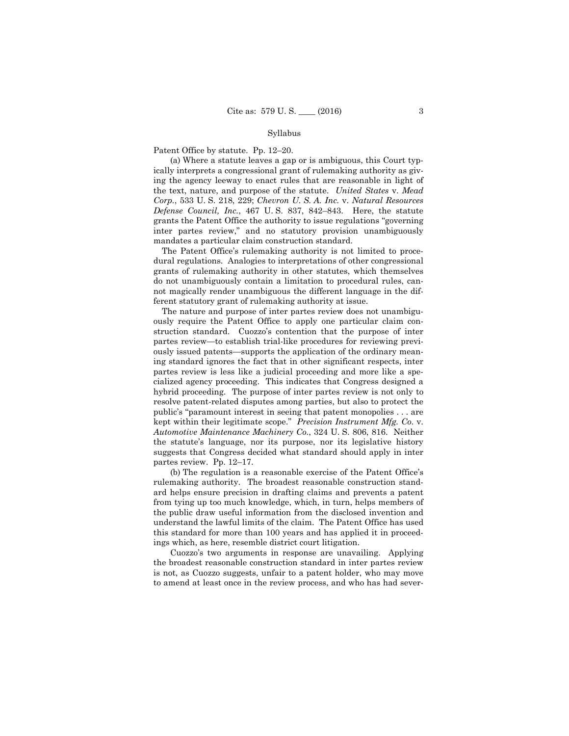Patent Office by statute. Pp. 12–20.

(a) Where a statute leaves a gap or is ambiguous, this Court typically interprets a congressional grant of rulemaking authority as giving the agency leeway to enact rules that are reasonable in light of the text, nature, and purpose of the statute. *United States* v. *Mead Corp.*, 533 U. S. 218, 229; *Chevron U. S. A. Inc.* v. *Natural Resources Defense Council, Inc.*, 467 U. S. 837, 842–843. Here, the statute grants the Patent Office the authority to issue regulations "governing inter partes review," and no statutory provision unambiguously mandates a particular claim construction standard.

The Patent Office's rulemaking authority is not limited to procedural regulations. Analogies to interpretations of other congressional grants of rulemaking authority in other statutes, which themselves do not unambiguously contain a limitation to procedural rules, cannot magically render unambiguous the different language in the different statutory grant of rulemaking authority at issue.

The nature and purpose of inter partes review does not unambiguously require the Patent Office to apply one particular claim construction standard. Cuozzo's contention that the purpose of inter partes review—to establish trial-like procedures for reviewing previously issued patents—supports the application of the ordinary meaning standard ignores the fact that in other significant respects, inter partes review is less like a judicial proceeding and more like a specialized agency proceeding. This indicates that Congress designed a hybrid proceeding. The purpose of inter partes review is not only to resolve patent-related disputes among parties, but also to protect the public's "paramount interest in seeing that patent monopolies . . . are kept within their legitimate scope." *Precision Instrument Mfg. Co.* v. *Automotive Maintenance Machinery Co.*, 324 U. S. 806, 816. Neither the statute's language, nor its purpose, nor its legislative history suggests that Congress decided what standard should apply in inter partes review. Pp. 12–17.

(b) The regulation is a reasonable exercise of the Patent Office's rulemaking authority. The broadest reasonable construction standard helps ensure precision in drafting claims and prevents a patent from tying up too much knowledge, which, in turn, helps members of the public draw useful information from the disclosed invention and understand the lawful limits of the claim. The Patent Office has used this standard for more than 100 years and has applied it in proceedings which, as here, resemble district court litigation.

Cuozzo's two arguments in response are unavailing. Applying the broadest reasonable construction standard in inter partes review is not, as Cuozzo suggests, unfair to a patent holder, who may move to amend at least once in the review process, and who has had sever-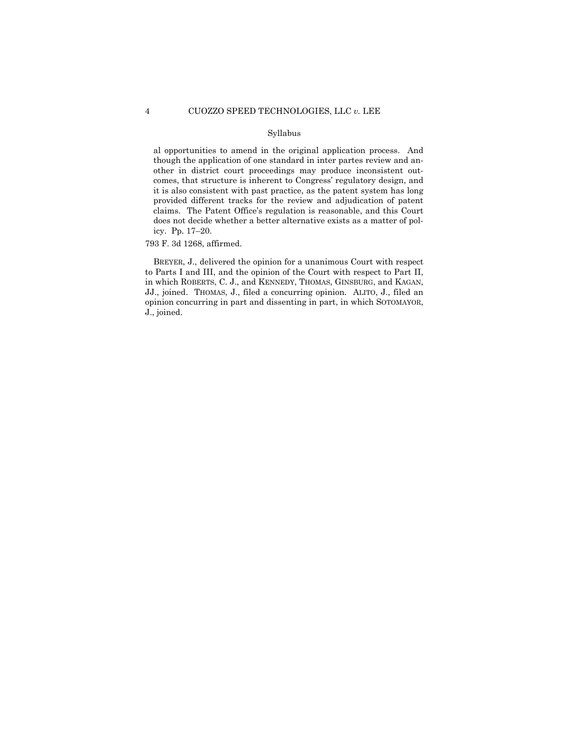al opportunities to amend in the original application process. And though the application of one standard in inter partes review and another in district court proceedings may produce inconsistent outcomes, that structure is inherent to Congress' regulatory design, and it is also consistent with past practice, as the patent system has long provided different tracks for the review and adjudication of patent claims. The Patent Office's regulation is reasonable, and this Court does not decide whether a better alternative exists as a matter of policy. Pp. 17–20.

793 F. 3d 1268, affirmed.

BREYER, J., delivered the opinion for a unanimous Court with respect to Parts I and III, and the opinion of the Court with respect to Part II, in which ROBERTS, C. J., and KENNEDY, THOMAS, GINSBURG, and KAGAN, JJ., joined. THOMAS, J., filed a concurring opinion. ALITO, J., filed an opinion concurring in part and dissenting in part, in which SOTOMAYOR, J., joined.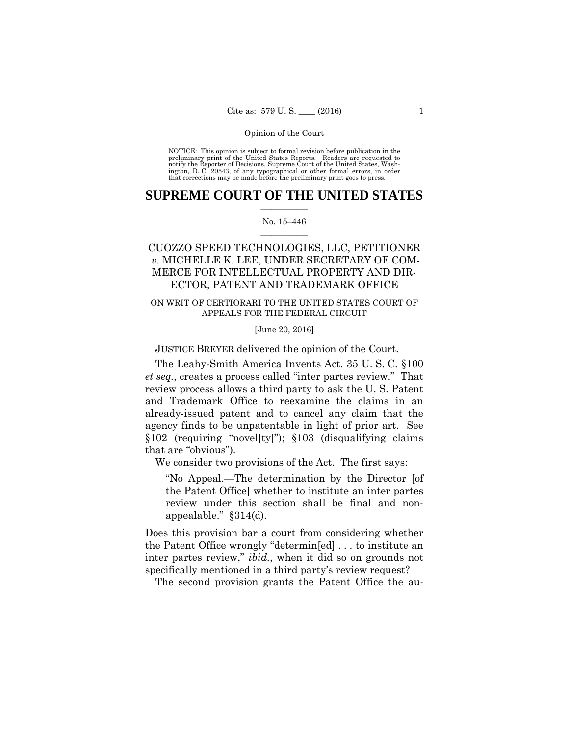preliminary print of the United States Reports. Readers are requested to notify the Reporter of Decisions, Supreme Court of the United States, Wash- ington, D. C. 20543, of any typographical or other formal errors, in order that corrections may be made before the preliminary print goes to press. NOTICE: This opinion is subject to formal revision before publication in the

## $\frac{1}{2}$  ,  $\frac{1}{2}$  ,  $\frac{1}{2}$  ,  $\frac{1}{2}$  ,  $\frac{1}{2}$  ,  $\frac{1}{2}$  ,  $\frac{1}{2}$ **SUPREME COURT OF THE UNITED STATES**

### $\frac{1}{2}$  ,  $\frac{1}{2}$  ,  $\frac{1}{2}$  ,  $\frac{1}{2}$  ,  $\frac{1}{2}$  ,  $\frac{1}{2}$ No. 15–446

# CUOZZO SPEED TECHNOLOGIES, LLC, PETITIONER *v.* MICHELLE K. LEE, UNDER SECRETARY OF COM-MERCE FOR INTELLECTUAL PROPERTY AND DIR-ECTOR, PATENT AND TRADEMARK OFFICE

# ON WRIT OF CERTIORARI TO THE UNITED STATES COURT OF APPEALS FOR THE FEDERAL CIRCUIT

## [June 20, 2016]

JUSTICE BREYER delivered the opinion of the Court.

The Leahy-Smith America Invents Act, 35 U. S. C. §100 *et seq.*, creates a process called "inter partes review." That review process allows a third party to ask the U. S. Patent and Trademark Office to reexamine the claims in an already-issued patent and to cancel any claim that the agency finds to be unpatentable in light of prior art. See §102 (requiring "novel[ty]"); §103 (disqualifying claims that are "obvious").

We consider two provisions of the Act. The first says:

"No Appeal.—The determination by the Director [of the Patent Office] whether to institute an inter partes review under this section shall be final and nonappealable." §314(d).

Does this provision bar a court from considering whether the Patent Office wrongly "determin[ed] . . . to institute an inter partes review," *ibid.*, when it did so on grounds not specifically mentioned in a third party's review request?

The second provision grants the Patent Office the au-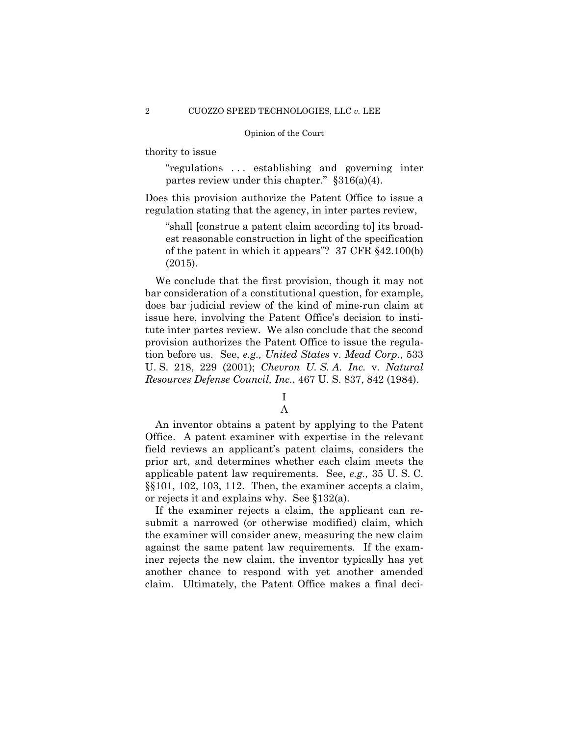thority to issue

"regulations . . . establishing and governing inter partes review under this chapter." §316(a)(4).

Does this provision authorize the Patent Office to issue a regulation stating that the agency, in inter partes review,

"shall [construe a patent claim according to] its broadest reasonable construction in light of the specification of the patent in which it appears"? 37 CFR §42.100(b) (2015).

We conclude that the first provision, though it may not bar consideration of a constitutional question, for example, does bar judicial review of the kind of mine-run claim at issue here, involving the Patent Office's decision to institute inter partes review. We also conclude that the second provision authorizes the Patent Office to issue the regulation before us. See, *e.g., United States* v. *Mead Corp.*, 533 U. S. 218, 229 (2001); *Chevron U. S. A. Inc.* v. *Natural Resources Defense Council, Inc.*, 467 U. S. 837, 842 (1984).

# I A

An inventor obtains a patent by applying to the Patent Office. A patent examiner with expertise in the relevant field reviews an applicant's patent claims, considers the prior art, and determines whether each claim meets the applicable patent law requirements. See, *e.g.,* 35 U. S. C. §§101, 102, 103, 112. Then, the examiner accepts a claim, or rejects it and explains why. See §132(a).

If the examiner rejects a claim, the applicant can resubmit a narrowed (or otherwise modified) claim, which the examiner will consider anew, measuring the new claim against the same patent law requirements. If the examiner rejects the new claim, the inventor typically has yet another chance to respond with yet another amended claim. Ultimately, the Patent Office makes a final deci-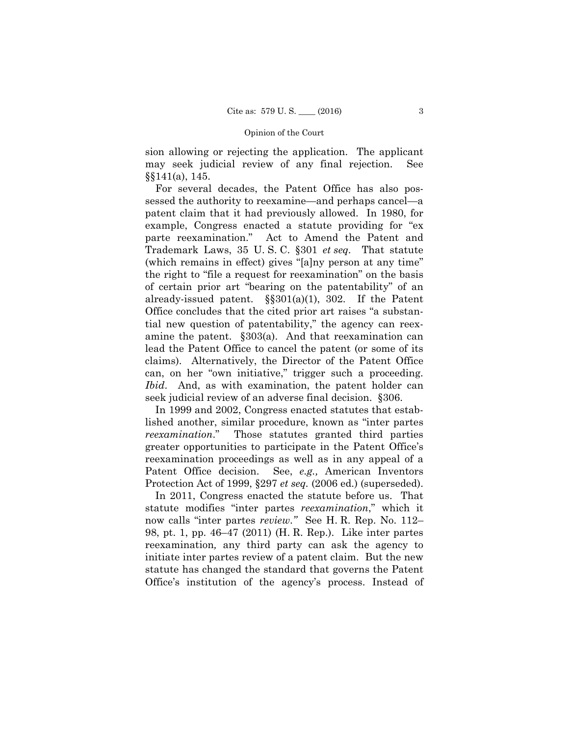sion allowing or rejecting the application. The applicant may seek judicial review of any final rejection. See §§141(a), 145.

For several decades, the Patent Office has also possessed the authority to reexamine—and perhaps cancel—a patent claim that it had previously allowed. In 1980, for example, Congress enacted a statute providing for "ex parte reexamination." Act to Amend the Patent and Trademark Laws, 35 U. S. C. §301 *et seq.* That statute (which remains in effect) gives "[a]ny person at any time" the right to "file a request for reexamination" on the basis of certain prior art "bearing on the patentability" of an already-issued patent.  $\S$ §301(a)(1), 302. If the Patent Office concludes that the cited prior art raises "a substantial new question of patentability," the agency can reexamine the patent. §303(a). And that reexamination can lead the Patent Office to cancel the patent (or some of its claims). Alternatively, the Director of the Patent Office can, on her "own initiative," trigger such a proceeding. *Ibid*. And, as with examination, the patent holder can seek judicial review of an adverse final decision. §306.

 reexamination proceedings as well as in any appeal of a In 1999 and 2002, Congress enacted statutes that established another, similar procedure, known as "inter partes *reexamination*." Those statutes granted third parties greater opportunities to participate in the Patent Office's Patent Office decision. See, *e.g.,* American Inventors Protection Act of 1999, §297 *et seq.* (2006 ed.) (superseded).

In 2011, Congress enacted the statute before us. That statute modifies "inter partes *reexamination*," which it now calls "inter partes *review*.*"* See H. R. Rep. No. 112– 98, pt. 1, pp. 46–47 (2011) (H. R. Rep.). Like inter partes reexamination*,* any third party can ask the agency to initiate inter partes review of a patent claim. But the new statute has changed the standard that governs the Patent Office's institution of the agency's process. Instead of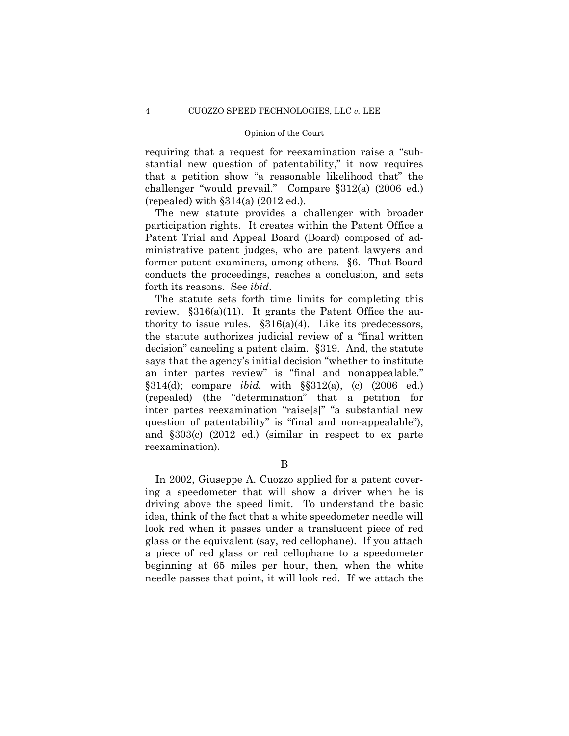requiring that a request for reexamination raise a "substantial new question of patentability," it now requires that a petition show "a reasonable likelihood that" the challenger "would prevail." Compare §312(a) (2006 ed.) (repealed) with  $\S 314(a)$  (2012 ed.).

The new statute provides a challenger with broader participation rights. It creates within the Patent Office a Patent Trial and Appeal Board (Board) composed of administrative patent judges, who are patent lawyers and former patent examiners, among others. §6. That Board conducts the proceedings, reaches a conclusion, and sets forth its reasons. See *ibid*.

The statute sets forth time limits for completing this review.  $\S 316(a)(11)$ . It grants the Patent Office the authority to issue rules.  $\S 316(a)(4)$ . Like its predecessors, the statute authorizes judicial review of a "final written decision" canceling a patent claim. §319. And, the statute says that the agency's initial decision "whether to institute an inter partes review" is "final and nonappealable." §314(d); compare *ibid.* with §§312(a), (c) (2006 ed.) (repealed) (the "determination" that a petition for inter partes reexamination "raise[s]" "a substantial new question of patentability" is "final and non-appealable"), and §303(c) (2012 ed.) (similar in respect to ex parte reexamination).

B

In 2002, Giuseppe A. Cuozzo applied for a patent covering a speedometer that will show a driver when he is driving above the speed limit. To understand the basic idea, think of the fact that a white speedometer needle will look red when it passes under a translucent piece of red glass or the equivalent (say, red cellophane). If you attach a piece of red glass or red cellophane to a speedometer beginning at 65 miles per hour, then, when the white needle passes that point, it will look red. If we attach the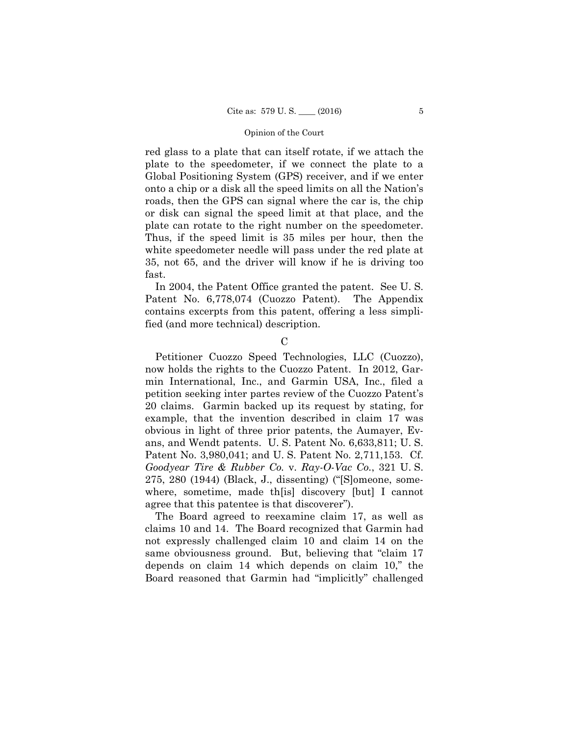red glass to a plate that can itself rotate, if we attach the plate to the speedometer, if we connect the plate to a Global Positioning System (GPS) receiver, and if we enter onto a chip or a disk all the speed limits on all the Nation's roads, then the GPS can signal where the car is, the chip or disk can signal the speed limit at that place, and the plate can rotate to the right number on the speedometer. Thus, if the speed limit is 35 miles per hour, then the white speedometer needle will pass under the red plate at 35, not 65, and the driver will know if he is driving too fast.

In 2004, the Patent Office granted the patent. See U. S. Patent No. 6,778,074 (Cuozzo Patent). The Appendix contains excerpts from this patent, offering a less simplified (and more technical) description.

 $\mathcal{C}$ 

 Petitioner Cuozzo Speed Technologies, LLC (Cuozzo), now holds the rights to the Cuozzo Patent. In 2012, Garmin International, Inc., and Garmin USA, Inc., filed a petition seeking inter partes review of the Cuozzo Patent's 20 claims. Garmin backed up its request by stating, for example, that the invention described in claim 17 was obvious in light of three prior patents, the Aumayer, Evans, and Wendt patents. U. S. Patent No. 6,633,811; U. S. Patent No. 3,980,041; and U. S. Patent No. 2,711,153. Cf. *Goodyear Tire & Rubber Co.* v. *Ray-O-Vac Co.*, 321 U. S. 275, 280 (1944) (Black, J., dissenting) ("[S]omeone, somewhere, sometime, made th[is] discovery [but] I cannot agree that this patentee is that discoverer").

The Board agreed to reexamine claim 17, as well as claims 10 and 14. The Board recognized that Garmin had not expressly challenged claim 10 and claim 14 on the same obviousness ground. But, believing that "claim 17 depends on claim 14 which depends on claim 10," the Board reasoned that Garmin had "implicitly" challenged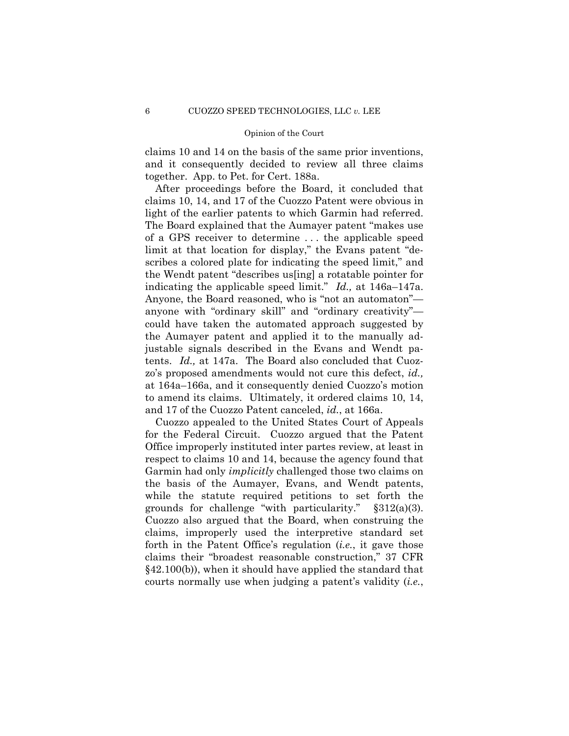claims 10 and 14 on the basis of the same prior inventions, and it consequently decided to review all three claims together. App. to Pet. for Cert. 188a.

 light of the earlier patents to which Garmin had referred. After proceedings before the Board, it concluded that claims 10, 14, and 17 of the Cuozzo Patent were obvious in The Board explained that the Aumayer patent "makes use of a GPS receiver to determine . . . the applicable speed limit at that location for display," the Evans patent "describes a colored plate for indicating the speed limit," and the Wendt patent "describes us[ing] a rotatable pointer for indicating the applicable speed limit." *Id.,* at 146a–147a. Anyone, the Board reasoned, who is "not an automaton" anyone with "ordinary skill" and "ordinary creativity" could have taken the automated approach suggested by the Aumayer patent and applied it to the manually adjustable signals described in the Evans and Wendt patents. *Id.,* at 147a. The Board also concluded that Cuozzo's proposed amendments would not cure this defect, *id.,*  at 164a–166a, and it consequently denied Cuozzo's motion to amend its claims. Ultimately, it ordered claims 10, 14, and 17 of the Cuozzo Patent canceled, *id.*, at 166a.

Cuozzo appealed to the United States Court of Appeals for the Federal Circuit. Cuozzo argued that the Patent Office improperly instituted inter partes review, at least in respect to claims 10 and 14, because the agency found that Garmin had only *implicitly* challenged those two claims on the basis of the Aumayer, Evans, and Wendt patents, while the statute required petitions to set forth the grounds for challenge "with particularity."  $\S 312(a)(3)$ . Cuozzo also argued that the Board, when construing the claims, improperly used the interpretive standard set forth in the Patent Office's regulation (*i.e.*, it gave those claims their "broadest reasonable construction," 37 CFR §42.100(b)), when it should have applied the standard that courts normally use when judging a patent's validity (*i.e.*,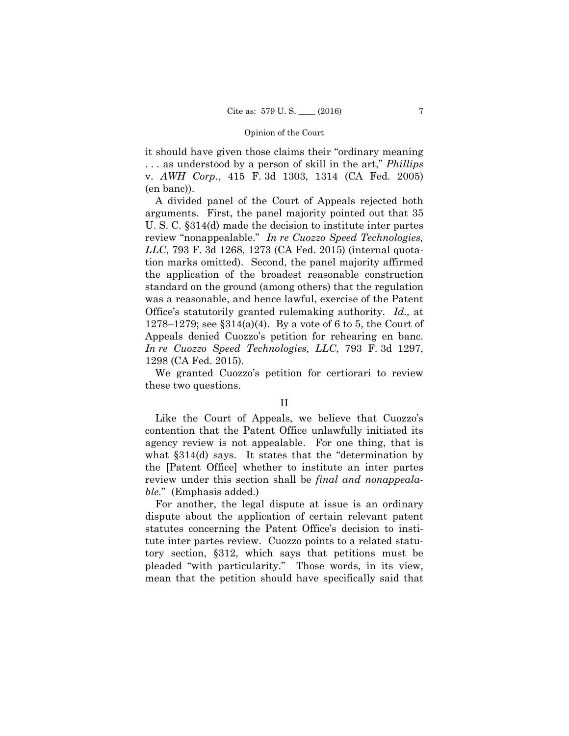it should have given those claims their "ordinary meaning . . . as understood by a person of skill in the art," *Phillips*  v. *AWH Corp.*, 415 F. 3d 1303, 1314 (CA Fed. 2005) (en banc)).

A divided panel of the Court of Appeals rejected both arguments. First, the panel majority pointed out that 35 U. S. C. §314(d) made the decision to institute inter partes review "nonappealable." *In re Cuozzo Speed Technologies, LLC*, 793 F. 3d 1268, 1273 (CA Fed. 2015) (internal quotation marks omitted). Second, the panel majority affirmed the application of the broadest reasonable construction standard on the ground (among others) that the regulation was a reasonable, and hence lawful, exercise of the Patent Office's statutorily granted rulemaking authority. *Id.,* at 1278–1279; see §314(a)(4). By a vote of 6 to 5, the Court of Appeals denied Cuozzo's petition for rehearing en banc. *In re Cuozzo Speed Technologies, LLC*, 793 F. 3d 1297, 1298 (CA Fed. 2015).

We granted Cuozzo's petition for certiorari to review these two questions.

Like the Court of Appeals, we believe that Cuozzo's contention that the Patent Office unlawfully initiated its agency review is not appealable. For one thing, that is what §314(d) says. It states that the "determination by the [Patent Office] whether to institute an inter partes review under this section shall be *final and nonappealable.*" (Emphasis added.)

For another, the legal dispute at issue is an ordinary dispute about the application of certain relevant patent statutes concerning the Patent Office's decision to institute inter partes review. Cuozzo points to a related statutory section, §312, which says that petitions must be pleaded "with particularity." Those words, in its view, mean that the petition should have specifically said that

II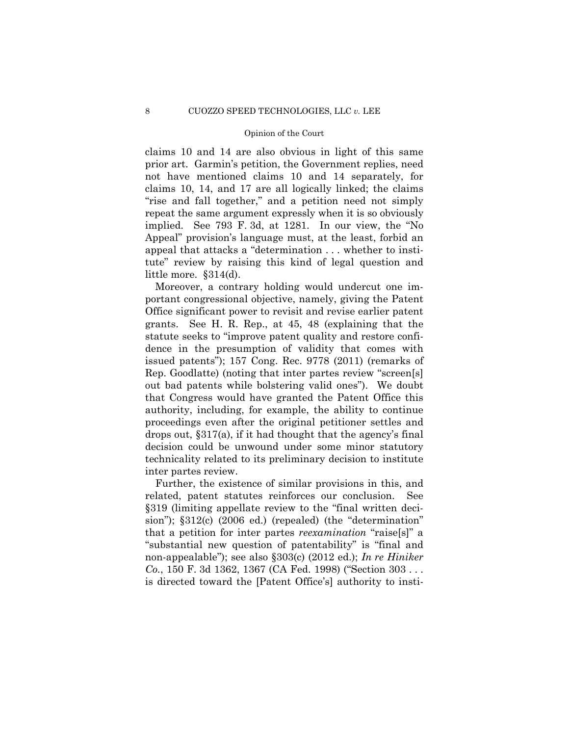repeat the same argument expressly when it is so obviously claims 10 and 14 are also obvious in light of this same prior art. Garmin's petition, the Government replies, need not have mentioned claims 10 and 14 separately, for claims 10, 14, and 17 are all logically linked; the claims "rise and fall together," and a petition need not simply implied. See 793 F. 3d, at 1281. In our view, the "No Appeal" provision's language must, at the least, forbid an appeal that attacks a "determination . . . whether to institute" review by raising this kind of legal question and little more. §314(d).

Moreover, a contrary holding would undercut one important congressional objective, namely, giving the Patent Office significant power to revisit and revise earlier patent grants. See H. R. Rep., at 45, 48 (explaining that the statute seeks to "improve patent quality and restore confidence in the presumption of validity that comes with issued patents"); 157 Cong. Rec. 9778 (2011) (remarks of Rep. Goodlatte) (noting that inter partes review "screen[s] out bad patents while bolstering valid ones"). We doubt that Congress would have granted the Patent Office this authority, including, for example, the ability to continue proceedings even after the original petitioner settles and drops out, §317(a), if it had thought that the agency's final decision could be unwound under some minor statutory technicality related to its preliminary decision to institute inter partes review.

Further, the existence of similar provisions in this, and related, patent statutes reinforces our conclusion. See §319 (limiting appellate review to the "final written decision");  $$312(c)$  (2006 ed.) (repealed) (the "determination" that a petition for inter partes *reexamination* "raise[s]" a "substantial new question of patentability" is "final and non-appealable"); see also §303(c) (2012 ed.); *In re Hiniker Co.*, 150 F. 3d 1362, 1367 (CA Fed. 1998) ("Section 303 . . . is directed toward the [Patent Office's] authority to insti-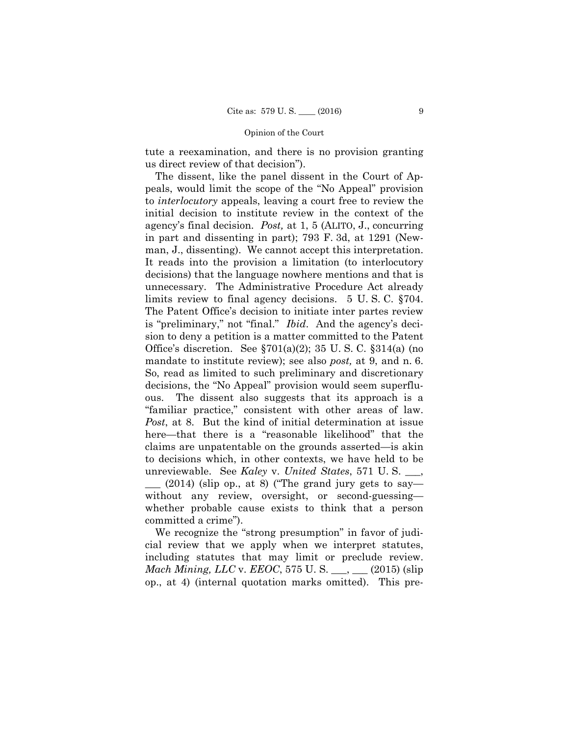tute a reexamination, and there is no provision granting us direct review of that decision").

 agency's final decision. *Post,* at 1, 5 (ALITO, J., concurring The dissent, like the panel dissent in the Court of Appeals, would limit the scope of the "No Appeal" provision to *interlocutory* appeals, leaving a court free to review the initial decision to institute review in the context of the in part and dissenting in part); 793 F. 3d, at 1291 (Newman, J., dissenting). We cannot accept this interpretation. It reads into the provision a limitation (to interlocutory decisions) that the language nowhere mentions and that is unnecessary. The Administrative Procedure Act already limits review to final agency decisions. 5 U. S. C. §704. The Patent Office's decision to initiate inter partes review is "preliminary," not "final." *Ibid*. And the agency's decision to deny a petition is a matter committed to the Patent Office's discretion. See §701(a)(2); 35 U. S. C. §314(a) (no mandate to institute review); see also *post*, at 9, and n. 6. So, read as limited to such preliminary and discretionary decisions, the "No Appeal" provision would seem superfluous. The dissent also suggests that its approach is a "familiar practice," consistent with other areas of law. *Post*, at 8. But the kind of initial determination at issue here—that there is a "reasonable likelihood" that the claims are unpatentable on the grounds asserted—is akin to decisions which, in other contexts, we have held to be unreviewable. See *Kaley* v. *United States*, 571 U. S. \_\_\_,  $\mu$  (2014) (slip op., at 8) ("The grand jury gets to say without any review, oversight, or second-guessing whether probable cause exists to think that a person committed a crime").

We recognize the "strong presumption" in favor of judicial review that we apply when we interpret statutes, including statutes that may limit or preclude review. *Mach Mining, LLC v. EEOC, 575 U. S.* \_\_\_, \_\_\_ (2015) (slip op., at 4) (internal quotation marks omitted). This pre-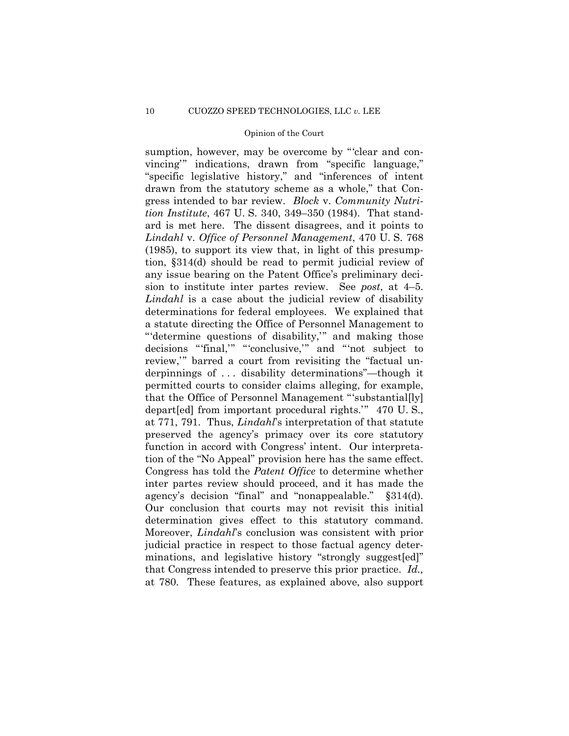decisions "'final,'" "'conclusive,'" and "'not subject to  $§314(d).$  determination gives effect to this statutory command. sumption, however, may be overcome by "'clear and convincing'" indications, drawn from "specific language," "specific legislative history," and "inferences of intent drawn from the statutory scheme as a whole," that Congress intended to bar review. *Block* v. *Community Nutrition Institute*, 467 U. S. 340, 349–350 (1984). That standard is met here. The dissent disagrees, and it points to *Lindahl* v. *Office of Personnel Management*, 470 U. S. 768 (1985), to support its view that, in light of this presumption, §314(d) should be read to permit judicial review of any issue bearing on the Patent Office's preliminary decision to institute inter partes review. See *post*, at 4–5. *Lindahl* is a case about the judicial review of disability determinations for federal employees. We explained that a statute directing the Office of Personnel Management to "'determine questions of disability,'" and making those review,'" barred a court from revisiting the "factual underpinnings of . . . disability determinations"—though it permitted courts to consider claims alleging, for example, that the Office of Personnel Management "'substantial[ly] depart[ed] from important procedural rights.'" 470 U. S., at 771, 791. Thus, *Lindahl*'s interpretation of that statute preserved the agency's primacy over its core statutory function in accord with Congress' intent. Our interpretation of the "No Appeal" provision here has the same effect. Congress has told the *Patent Office* to determine whether inter partes review should proceed, and it has made the agency's decision "final" and "nonappealable." Our conclusion that courts may not revisit this initial Moreover, *Lindahl*'s conclusion was consistent with prior judicial practice in respect to those factual agency determinations, and legislative history "strongly suggest[ed]" that Congress intended to preserve this prior practice. *Id.,*  at 780. These features, as explained above, also support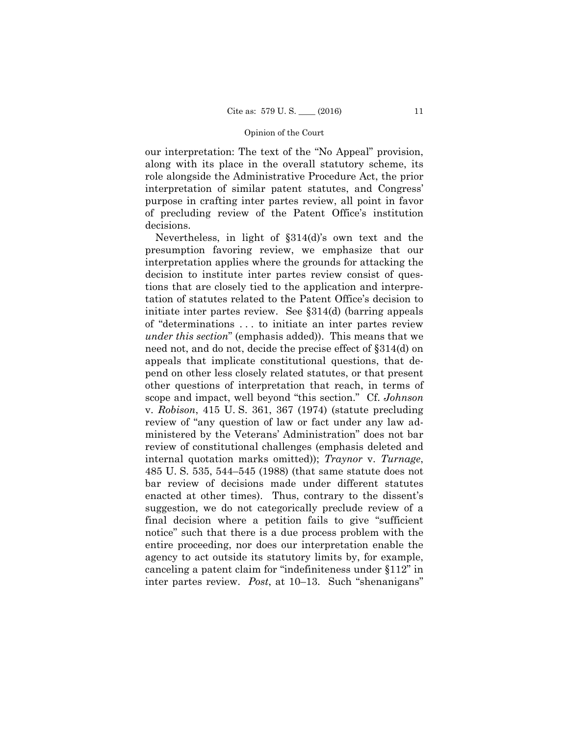our interpretation: The text of the "No Appeal" provision, along with its place in the overall statutory scheme, its role alongside the Administrative Procedure Act, the prior interpretation of similar patent statutes, and Congress' purpose in crafting inter partes review, all point in favor of precluding review of the Patent Office's institution decisions.

Nevertheless, in light of §314(d)'s own text and the presumption favoring review, we emphasize that our interpretation applies where the grounds for attacking the decision to institute inter partes review consist of questions that are closely tied to the application and interpretation of statutes related to the Patent Office's decision to initiate inter partes review. See §314(d) (barring appeals of "determinations . . . to initiate an inter partes review *under this section*" (emphasis added)). This means that we need not, and do not, decide the precise effect of §314(d) on appeals that implicate constitutional questions, that depend on other less closely related statutes, or that present other questions of interpretation that reach, in terms of scope and impact, well beyond "this section." Cf. *Johnson*  v. *Robison*, 415 U. S. 361, 367 (1974) (statute precluding review of "any question of law or fact under any law administered by the Veterans' Administration" does not bar review of constitutional challenges (emphasis deleted and internal quotation marks omitted)); *Traynor* v. *Turnage*, 485 U. S. 535, 544–545 (1988) (that same statute does not bar review of decisions made under different statutes enacted at other times). Thus, contrary to the dissent's suggestion, we do not categorically preclude review of a final decision where a petition fails to give "sufficient notice" such that there is a due process problem with the entire proceeding, nor does our interpretation enable the agency to act outside its statutory limits by, for example, canceling a patent claim for "indefiniteness under §112" in inter partes review. *Post*, at 10–13. Such "shenanigans"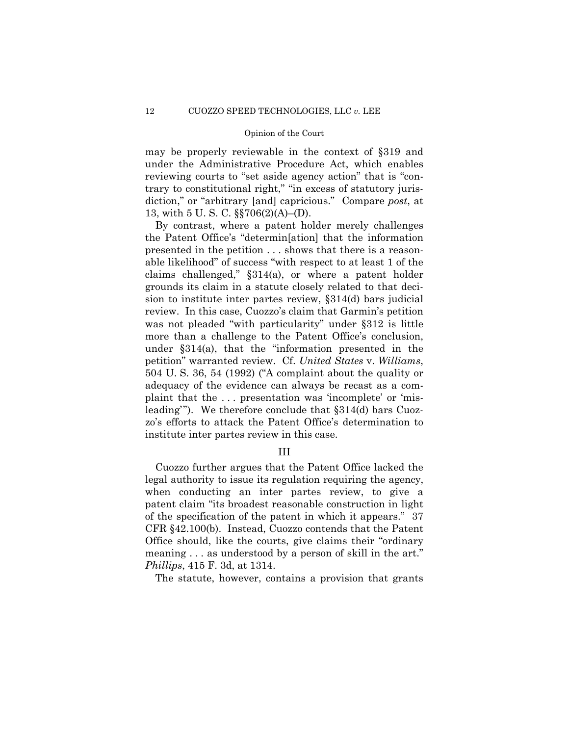may be properly reviewable in the context of §319 and under the Administrative Procedure Act, which enables reviewing courts to "set aside agency action" that is "contrary to constitutional right," "in excess of statutory jurisdiction," or "arbitrary [and] capricious." Compare *post*, at 13, with 5 U. S. C. §§706(2)(A)–(D).

By contrast, where a patent holder merely challenges the Patent Office's "determin[ation] that the information presented in the petition . . . shows that there is a reasonable likelihood" of success "with respect to at least 1 of the claims challenged," §314(a), or where a patent holder grounds its claim in a statute closely related to that decision to institute inter partes review, §314(d) bars judicial review. In this case, Cuozzo's claim that Garmin's petition was not pleaded "with particularity" under §312 is little more than a challenge to the Patent Office's conclusion, under §314(a), that the "information presented in the petition" warranted review. Cf. *United States* v. *Williams*, 504 U. S. 36, 54 (1992) ("A complaint about the quality or adequacy of the evidence can always be recast as a complaint that the . . . presentation was 'incomplete' or 'misleading'"). We therefore conclude that §314(d) bars Cuozzo's efforts to attack the Patent Office's determination to institute inter partes review in this case.

# III

Cuozzo further argues that the Patent Office lacked the legal authority to issue its regulation requiring the agency, when conducting an inter partes review, to give a patent claim "its broadest reasonable construction in light of the specification of the patent in which it appears." 37 CFR §42.100(b). Instead, Cuozzo contends that the Patent Office should, like the courts, give claims their "ordinary meaning . . . as understood by a person of skill in the art." *Phillips*, 415 F. 3d, at 1314.

The statute, however, contains a provision that grants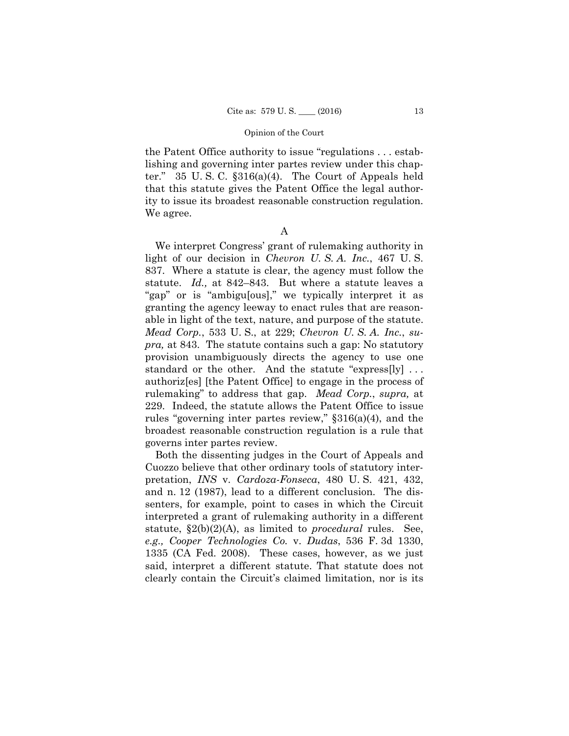the Patent Office authority to issue "regulations . . . establishing and governing inter partes review under this chapter." 35 U. S. C. §316(a)(4). The Court of Appeals held that this statute gives the Patent Office the legal authority to issue its broadest reasonable construction regulation. We agree.

A

 rulemaking" to address that gap. *Mead Corp.*, *supra,* at We interpret Congress' grant of rulemaking authority in light of our decision in *Chevron U. S. A. Inc.*, 467 U. S. 837. Where a statute is clear, the agency must follow the statute. *Id.,* at 842–843. But where a statute leaves a "gap" or is "ambigu[ous]," we typically interpret it as granting the agency leeway to enact rules that are reasonable in light of the text, nature, and purpose of the statute. *Mead Corp.*, 533 U. S., at 229; *Chevron U. S. A. Inc.*, *supra,* at 843. The statute contains such a gap: No statutory provision unambiguously directs the agency to use one standard or the other. And the statute "express[ly] ... authoriz[es] [the Patent Office] to engage in the process of 229. Indeed, the statute allows the Patent Office to issue rules "governing inter partes review," §316(a)(4), and the broadest reasonable construction regulation is a rule that governs inter partes review.

Both the dissenting judges in the Court of Appeals and Cuozzo believe that other ordinary tools of statutory interpretation, *INS* v. *Cardoza-Fonseca*, 480 U. S. 421, 432, and n. 12 (1987), lead to a different conclusion. The dissenters, for example, point to cases in which the Circuit interpreted a grant of rulemaking authority in a different statute, §2(b)(2)(A), as limited to *procedural* rules. See, *e.g., Cooper Technologies Co.* v. *Dudas*, 536 F. 3d 1330, 1335 (CA Fed. 2008). These cases, however, as we just said, interpret a different statute. That statute does not clearly contain the Circuit's claimed limitation, nor is its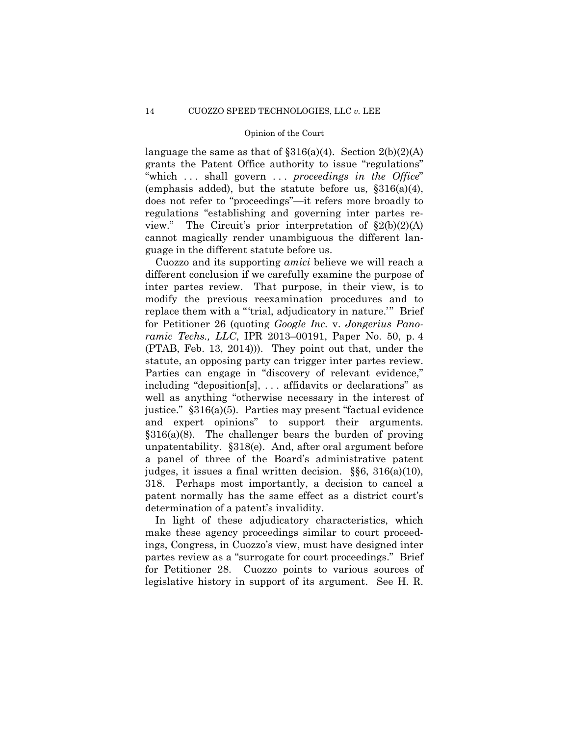language the same as that of  $\S 316(a)(4)$ . Section  $2(b)(2)(A)$ grants the Patent Office authority to issue "regulations" "which . . . shall govern . . . *proceedings in the Office*" (emphasis added), but the statute before us,  $\S 316(a)(4)$ , does not refer to "proceedings"—it refers more broadly to regulations "establishing and governing inter partes review." The Circuit's prior interpretation of  $\S2(b)(2)(A)$ cannot magically render unambiguous the different language in the different statute before us.

 statute, an opposing party can trigger inter partes review. and expert opinions" to support their arguments. Cuozzo and its supporting *amici* believe we will reach a different conclusion if we carefully examine the purpose of inter partes review. That purpose, in their view, is to modify the previous reexamination procedures and to replace them with a "'trial, adjudicatory in nature.'" Brief for Petitioner 26 (quoting *Google Inc.* v. *Jongerius Panoramic Techs., LLC*, IPR 2013–00191, Paper No. 50, p. 4 (PTAB, Feb. 13, 2014))). They point out that, under the Parties can engage in "discovery of relevant evidence," including "deposition[s], . . . affidavits or declarations" as well as anything "otherwise necessary in the interest of justice." §316(a)(5). Parties may present "factual evidence §316(a)(8). The challenger bears the burden of proving unpatentability. §318(e). And, after oral argument before a panel of three of the Board's administrative patent judges, it issues a final written decision. §§6, 316(a)(10), 318. Perhaps most importantly, a decision to cancel a patent normally has the same effect as a district court's determination of a patent's invalidity.

In light of these adjudicatory characteristics, which make these agency proceedings similar to court proceedings, Congress, in Cuozzo's view, must have designed inter partes review as a "surrogate for court proceedings." Brief for Petitioner 28. Cuozzo points to various sources of legislative history in support of its argument. See H. R.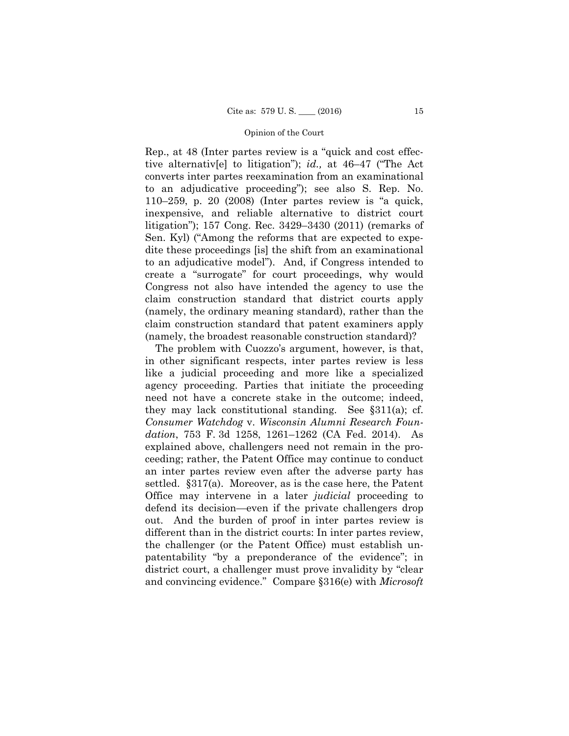Rep., at 48 (Inter partes review is a "quick and cost effective alternativ[e] to litigation"); *id.,* at 46–47 ("The Act converts inter partes reexamination from an examinational to an adjudicative proceeding"); see also S. Rep. No. 110–259, p. 20 (2008) (Inter partes review is "a quick, inexpensive, and reliable alternative to district court litigation"); 157 Cong. Rec. 3429–3430 (2011) (remarks of Sen. Kyl) ("Among the reforms that are expected to expedite these proceedings [is] the shift from an examinational to an adjudicative model"). And, if Congress intended to create a "surrogate" for court proceedings, why would Congress not also have intended the agency to use the claim construction standard that district courts apply (namely, the ordinary meaning standard), rather than the claim construction standard that patent examiners apply (namely, the broadest reasonable construction standard)?

The problem with Cuozzo's argument, however, is that, in other significant respects, inter partes review is less like a judicial proceeding and more like a specialized agency proceeding. Parties that initiate the proceeding need not have a concrete stake in the outcome; indeed, they may lack constitutional standing. See §311(a); cf. *Consumer Watchdog* v. *Wisconsin Alumni Research Foundation*, 753 F. 3d 1258, 1261–1262 (CA Fed. 2014). As explained above, challengers need not remain in the proceeding; rather, the Patent Office may continue to conduct an inter partes review even after the adverse party has settled. §317(a). Moreover, as is the case here, the Patent Office may intervene in a later *judicial* proceeding to defend its decision—even if the private challengers drop out. And the burden of proof in inter partes review is different than in the district courts: In inter partes review, the challenger (or the Patent Office) must establish unpatentability "by a preponderance of the evidence"; in district court, a challenger must prove invalidity by "clear and convincing evidence." Compare §316(e) with *Microsoft*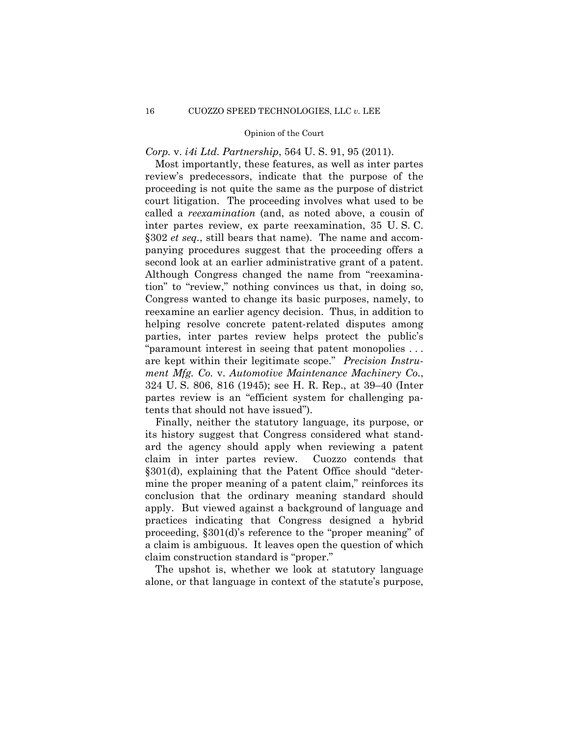*Corp.* v. *i4i Ltd. Partnership*, 564 U. S. 91, 95 (2011).

 second look at an earlier administrative grant of a patent. Most importantly, these features, as well as inter partes review's predecessors, indicate that the purpose of the proceeding is not quite the same as the purpose of district court litigation. The proceeding involves what used to be called a *reexamination* (and, as noted above, a cousin of inter partes review, ex parte reexamination, 35 U. S. C. §302 *et seq.*, still bears that name). The name and accompanying procedures suggest that the proceeding offers a Although Congress changed the name from "reexamination" to "review," nothing convinces us that, in doing so, Congress wanted to change its basic purposes, namely, to reexamine an earlier agency decision. Thus, in addition to helping resolve concrete patent-related disputes among parties, inter partes review helps protect the public's "paramount interest in seeing that patent monopolies . . . are kept within their legitimate scope." *Precision Instrument Mfg. Co.* v. *Automotive Maintenance Machinery Co.*, 324 U. S. 806, 816 (1945); see H. R. Rep., at 39–40 (Inter partes review is an "efficient system for challenging patents that should not have issued").

Finally, neither the statutory language, its purpose, or its history suggest that Congress considered what standard the agency should apply when reviewing a patent claim in inter partes review. Cuozzo contends that §301(d), explaining that the Patent Office should "determine the proper meaning of a patent claim," reinforces its conclusion that the ordinary meaning standard should apply. But viewed against a background of language and practices indicating that Congress designed a hybrid proceeding, §301(d)'s reference to the "proper meaning" of a claim is ambiguous. It leaves open the question of which claim construction standard is "proper."

The upshot is, whether we look at statutory language alone, or that language in context of the statute's purpose,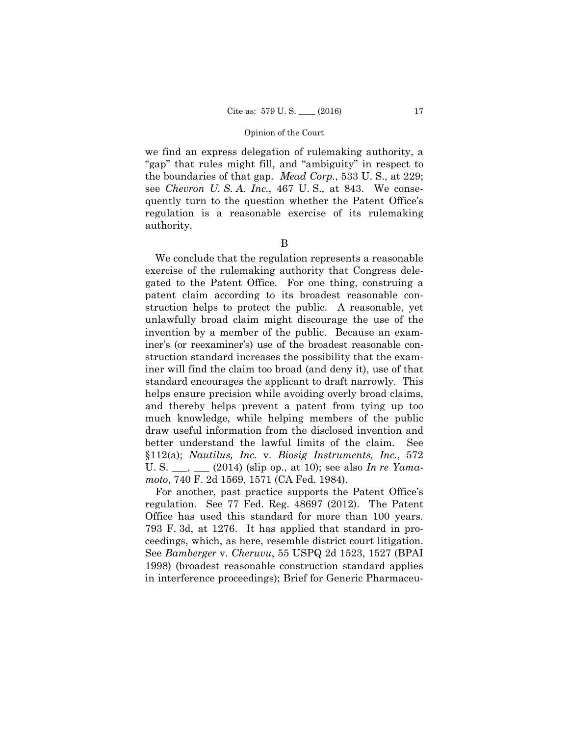we find an express delegation of rulemaking authority, a "gap" that rules might fill, and "ambiguity" in respect to the boundaries of that gap. *Mead Corp.*, 533 U. S., at 229; see *Chevron U. S. A. Inc.*, 467 U. S.*,* at 843. We consequently turn to the question whether the Patent Office's regulation is a reasonable exercise of its rulemaking authority.

### B

We conclude that the regulation represents a reasonable exercise of the rulemaking authority that Congress delegated to the Patent Office. For one thing, construing a patent claim according to its broadest reasonable construction helps to protect the public. A reasonable, yet unlawfully broad claim might discourage the use of the invention by a member of the public. Because an examiner's (or reexaminer's) use of the broadest reasonable construction standard increases the possibility that the examiner will find the claim too broad (and deny it), use of that standard encourages the applicant to draft narrowly. This helps ensure precision while avoiding overly broad claims, and thereby helps prevent a patent from tying up too much knowledge, while helping members of the public draw useful information from the disclosed invention and better understand the lawful limits of the claim. See §112(a); *Nautilus, Inc.* v. *Biosig Instruments, Inc.*, 572 U. S. \_\_\_, \_\_\_ (2014) (slip op., at 10); see also *In re Yamamoto*, 740 F. 2d 1569, 1571 (CA Fed. 1984).

For another, past practice supports the Patent Office's regulation. See 77 Fed. Reg. 48697 (2012). The Patent Office has used this standard for more than 100 years. 793 F. 3d, at 1276. It has applied that standard in proceedings, which, as here, resemble district court litigation. See *Bamberger* v. *Cheruvu*, 55 USPQ 2d 1523, 1527 (BPAI 1998) (broadest reasonable construction standard applies in interference proceedings); Brief for Generic Pharmaceu-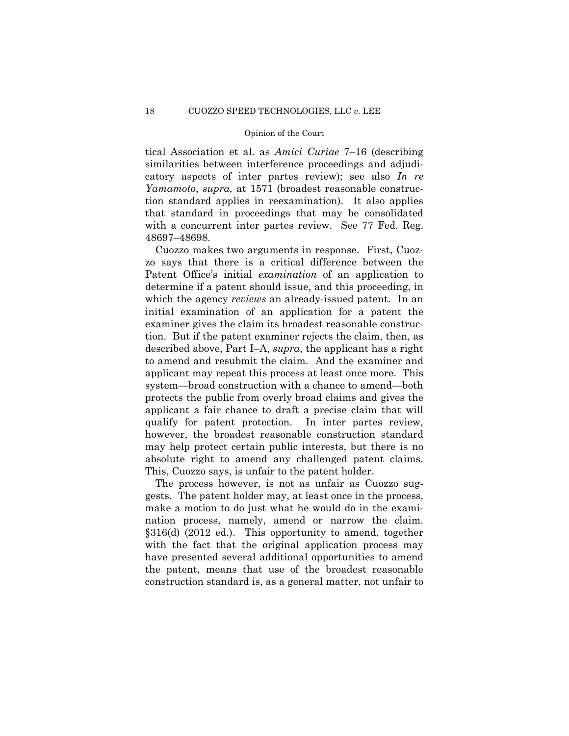tical Association et al. as *Amici Curiae* 7–16 (describing similarities between interference proceedings and adjudicatory aspects of inter partes review); see also *In re Yamamoto*, *supra,* at 1571 (broadest reasonable construction standard applies in reexamination). It also applies that standard in proceedings that may be consolidated with a concurrent inter partes review. See 77 Fed. Reg. 48697–48698.

 absolute right to amend any challenged patent claims. Cuozzo makes two arguments in response. First, Cuozzo says that there is a critical difference between the Patent Office's initial *examination* of an application to determine if a patent should issue, and this proceeding, in which the agency *reviews* an already-issued patent. In an initial examination of an application for a patent the examiner gives the claim its broadest reasonable construction. But if the patent examiner rejects the claim, then, as described above, Part I–A, *supra*, the applicant has a right to amend and resubmit the claim. And the examiner and applicant may repeat this process at least once more. This system—broad construction with a chance to amend—both protects the public from overly broad claims and gives the applicant a fair chance to draft a precise claim that will qualify for patent protection. In inter partes review, however, the broadest reasonable construction standard may help protect certain public interests, but there is no This, Cuozzo says, is unfair to the patent holder.

 nation process, namely, amend or narrow the claim. The process however, is not as unfair as Cuozzo suggests. The patent holder may, at least once in the process, make a motion to do just what he would do in the exami-§316(d) (2012 ed.). This opportunity to amend, together with the fact that the original application process may have presented several additional opportunities to amend the patent, means that use of the broadest reasonable construction standard is, as a general matter, not unfair to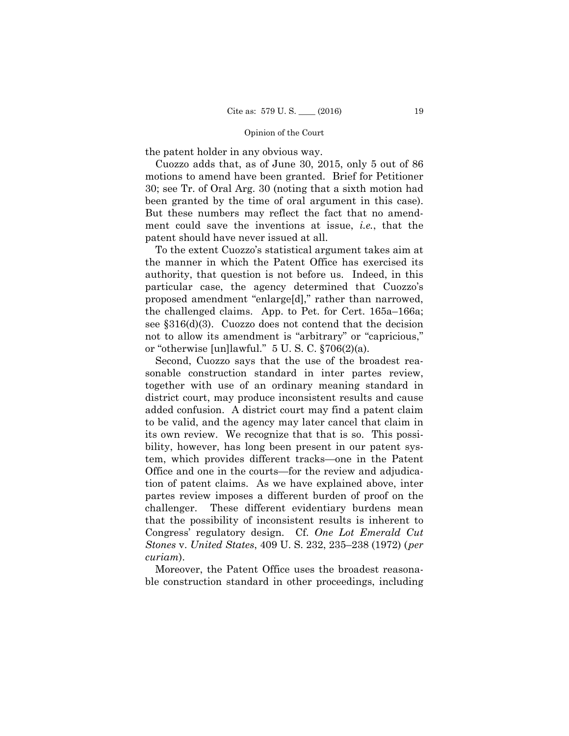the patent holder in any obvious way.

 been granted by the time of oral argument in this case). Cuozzo adds that, as of June 30, 2015, only 5 out of 86 motions to amend have been granted. Brief for Petitioner 30; see Tr. of Oral Arg. 30 (noting that a sixth motion had But these numbers may reflect the fact that no amendment could save the inventions at issue, *i.e.*, that the patent should have never issued at all.

To the extent Cuozzo's statistical argument takes aim at the manner in which the Patent Office has exercised its authority, that question is not before us. Indeed, in this particular case, the agency determined that Cuozzo's proposed amendment "enlarge[d]," rather than narrowed, the challenged claims. App. to Pet. for Cert. 165a–166a; see §316(d)(3). Cuozzo does not contend that the decision not to allow its amendment is "arbitrary" or "capricious," or "otherwise [un]lawful." 5 U. S. C. §706(2)(a).

Second, Cuozzo says that the use of the broadest reasonable construction standard in inter partes review, together with use of an ordinary meaning standard in district court, may produce inconsistent results and cause added confusion. A district court may find a patent claim to be valid, and the agency may later cancel that claim in its own review. We recognize that that is so. This possibility, however, has long been present in our patent system, which provides different tracks—one in the Patent Office and one in the courts—for the review and adjudication of patent claims. As we have explained above, inter partes review imposes a different burden of proof on the challenger. These different evidentiary burdens mean that the possibility of inconsistent results is inherent to Congress' regulatory design. Cf. *One Lot Emerald Cut Stones* v. *United States*, 409 U. S. 232, 235–238 (1972) (*per curiam*).

Moreover, the Patent Office uses the broadest reasonable construction standard in other proceedings, including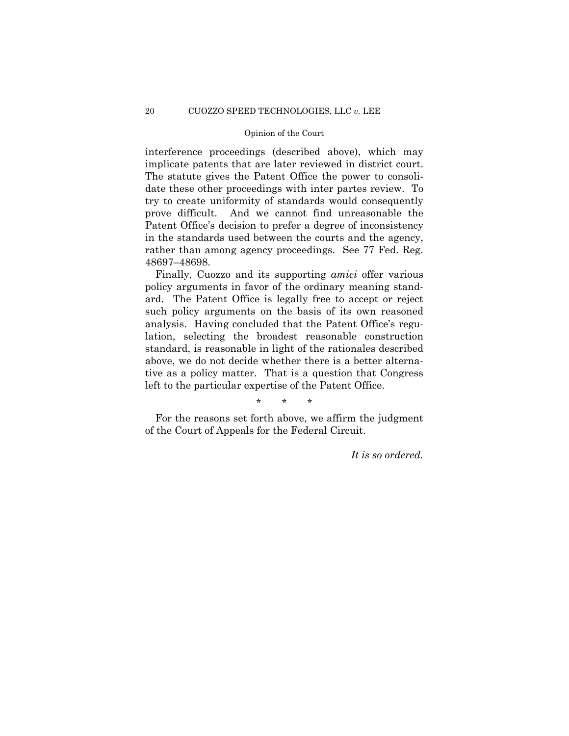interference proceedings (described above), which may implicate patents that are later reviewed in district court. The statute gives the Patent Office the power to consolidate these other proceedings with inter partes review. To try to create uniformity of standards would consequently prove difficult. And we cannot find unreasonable the Patent Office's decision to prefer a degree of inconsistency in the standards used between the courts and the agency, rather than among agency proceedings. See 77 Fed. Reg. 48697–48698.

Finally, Cuozzo and its supporting *amici* offer various policy arguments in favor of the ordinary meaning standard. The Patent Office is legally free to accept or reject such policy arguments on the basis of its own reasoned analysis. Having concluded that the Patent Office's regulation, selecting the broadest reasonable construction standard, is reasonable in light of the rationales described above, we do not decide whether there is a better alternative as a policy matter. That is a question that Congress left to the particular expertise of the Patent Office.

\* \* \*

For the reasons set forth above, we affirm the judgment of the Court of Appeals for the Federal Circuit.

*It is so ordered.*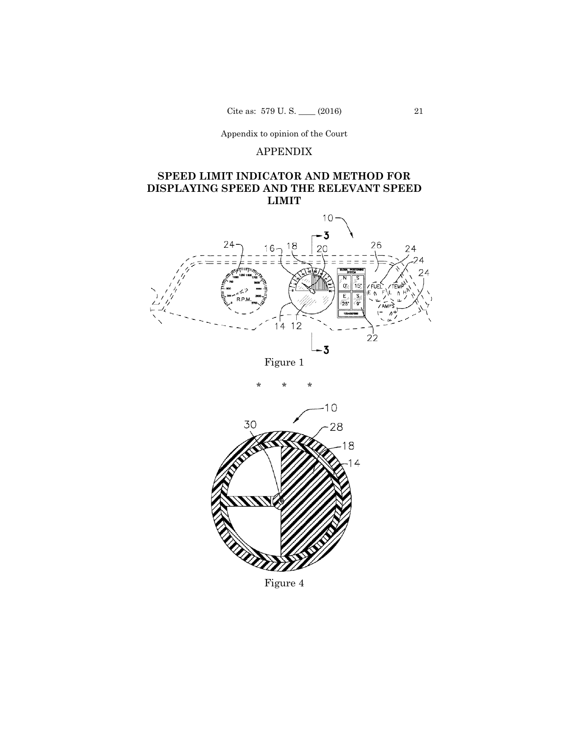Appendix to opinion of the Court

# APPENDIX

# **SPEED LIMIT INDICATOR AND METHOD FOR DISPLAYING SPEED AND THE RELEVANT SPEED LIMIT**







Figure 4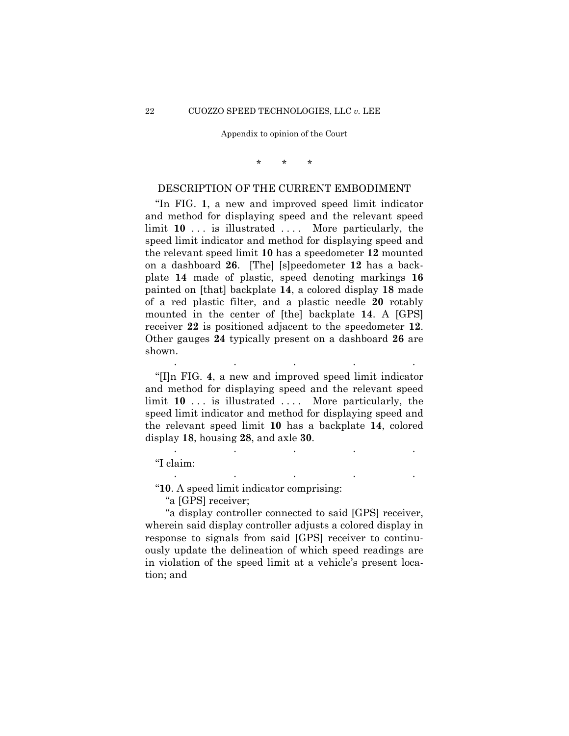### Appendix to opinion of the Court

\* \* \*

# DESCRIPTION OF THE CURRENT EMBODIMENT

 "In FIG. **1**, a new and improved speed limit indicator and method for displaying speed and the relevant speed limit **10** ... is illustrated .... More particularly, the speed limit indicator and method for displaying speed and the relevant speed limit **10** has a speedometer **12** mounted on a dashboard **26**. [The] [s]peedometer **12** has a backplate **14** made of plastic, speed denoting markings **16**  painted on [that] backplate **14**, a colored display **18** made of a red plastic filter, and a plastic needle **20** rotably mounted in the center of [the] backplate **14**. A [GPS] receiver **22** is positioned adjacent to the speedometer **12**. Other gauges **24** typically present on a dashboard **26** are shown.

 "[I]n FIG. **4**, a new and improved speed limit indicator and method for displaying speed and the relevant speed limit **10** ... is illustrated .... More particularly, the speed limit indicator and method for displaying speed and the relevant speed limit **10** has a backplate **14**, colored display **18**, housing **28**, and axle **30**.

. . . . .

. . . . .

. . . . .

"I claim:

"**10**. A speed limit indicator comprising:

"a [GPS] receiver;

"a display controller connected to said [GPS] receiver, wherein said display controller adjusts a colored display in response to signals from said [GPS] receiver to continuously update the delineation of which speed readings are in violation of the speed limit at a vehicle's present location; and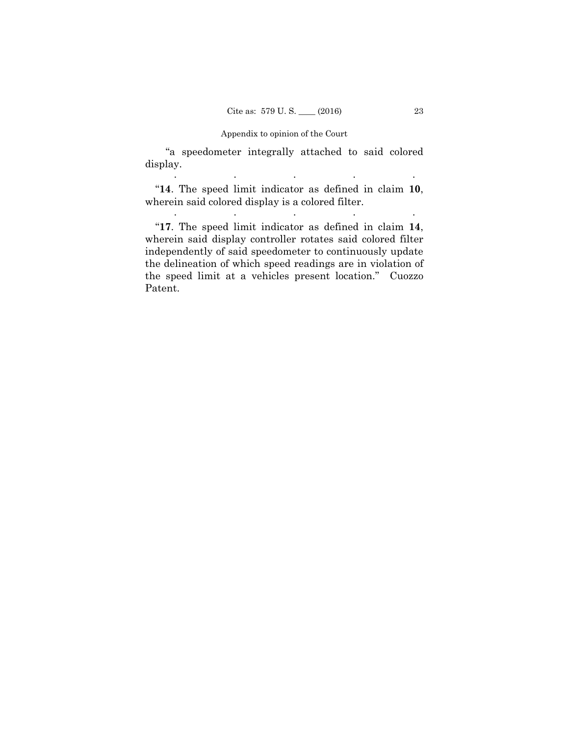### Appendix to opinion of the Court

"a speedometer integrally attached to said colored display.

 "**14**. The speed limit indicator as defined in claim **10**, wherein said colored display is a colored filter.

. The second contribution of the second contribution  $\mathcal{L}_\mathcal{A}$ 

. . . . .

 "**17**. The speed limit indicator as defined in claim **14**, wherein said display controller rotates said colored filter independently of said speedometer to continuously update the delineation of which speed readings are in violation of the speed limit at a vehicles present location." Cuozzo Patent.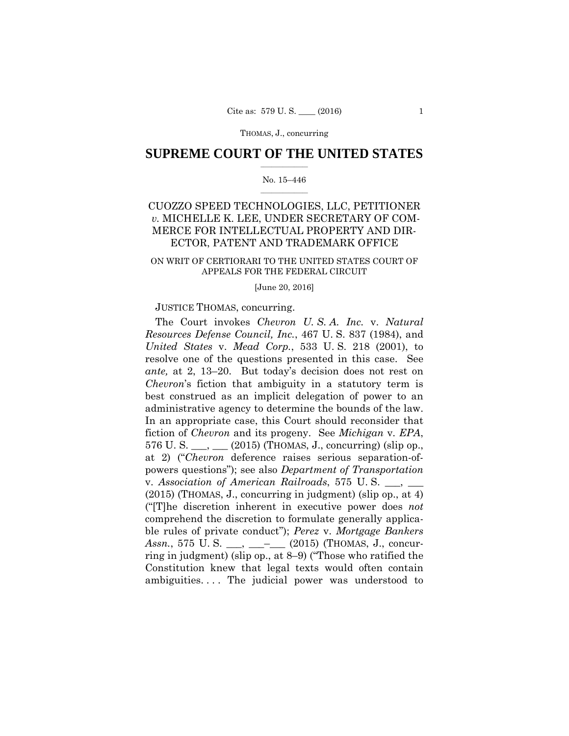### THOMAS, J., concurring

## $\frac{1}{2}$  ,  $\frac{1}{2}$  ,  $\frac{1}{2}$  ,  $\frac{1}{2}$  ,  $\frac{1}{2}$  ,  $\frac{1}{2}$  ,  $\frac{1}{2}$ **SUPREME COURT OF THE UNITED STATES**

### $\frac{1}{2}$  ,  $\frac{1}{2}$  ,  $\frac{1}{2}$  ,  $\frac{1}{2}$  ,  $\frac{1}{2}$  ,  $\frac{1}{2}$ No. 15–446

# CUOZZO SPEED TECHNOLOGIES, LLC, PETITIONER *v.* MICHELLE K. LEE, UNDER SECRETARY OF COM-MERCE FOR INTELLECTUAL PROPERTY AND DIR-ECTOR, PATENT AND TRADEMARK OFFICE

# ON WRIT OF CERTIORARI TO THE UNITED STATES COURT OF APPEALS FOR THE FEDERAL CIRCUIT

### [June 20, 2016]

# JUSTICE THOMAS, concurring.

 fiction of *Chevron* and its progeny. See *Michigan* v. *EPA*, The Court invokes *Chevron U. S. A. Inc.* v. *Natural Resources Defense Council, Inc.*, 467 U. S. 837 (1984), and *United States* v. *Mead Corp.*, 533 U. S. 218 (2001), to resolve one of the questions presented in this case. See *ante,* at 2, 13–20. But today's decision does not rest on *Chevron*'s fiction that ambiguity in a statutory term is best construed as an implicit delegation of power to an administrative agency to determine the bounds of the law. In an appropriate case, this Court should reconsider that 576 U. S. \_\_\_, \_\_\_ (2015) (THOMAS, J., concurring) (slip op., at 2) ("*Chevron* deference raises serious separation-ofpowers questions"); see also *Department of Transportation*  v. *Association of American Railroads*, 575 U. S. \_\_\_, \_\_\_ (2015) (THOMAS, J., concurring in judgment) (slip op., at 4) ("[T]he discretion inherent in executive power does *not*  comprehend the discretion to formulate generally applicable rules of private conduct"); *Perez* v. *Mortgage Bankers*  Assn., 575 U. S. \_\_\_, \_\_\_<sup>\_</sup>\_\_\_ (2015) (THOMAS, J., concurring in judgment) (slip op., at 8–9) ("Those who ratified the Constitution knew that legal texts would often contain ambiguities. . . . The judicial power was understood to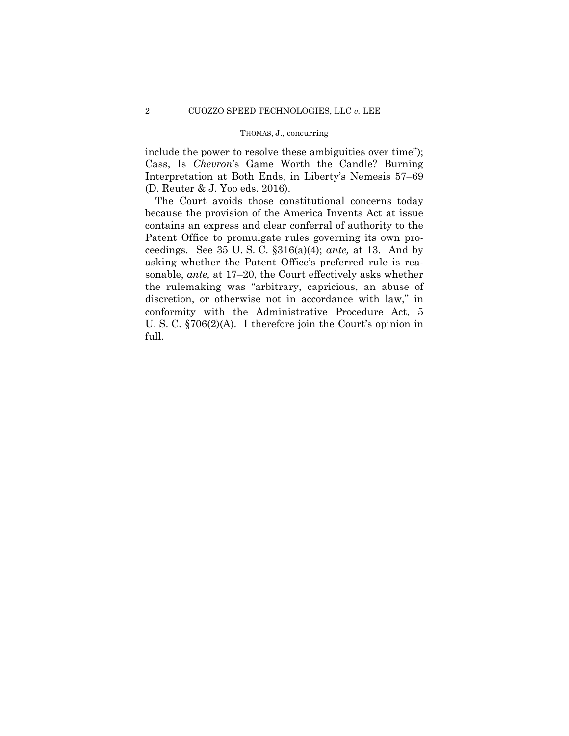### THOMAS, J., concurring

include the power to resolve these ambiguities over time"); Cass, Is *Chevron*'s Game Worth the Candle? Burning Interpretation at Both Ends, in Liberty's Nemesis 57–69 (D. Reuter & J. Yoo eds. 2016).

The Court avoids those constitutional concerns today because the provision of the America Invents Act at issue contains an express and clear conferral of authority to the Patent Office to promulgate rules governing its own proceedings. See 35 U. S. C. §316(a)(4); *ante,* at 13. And by asking whether the Patent Office's preferred rule is reasonable, *ante,* at 17–20, the Court effectively asks whether the rulemaking was "arbitrary, capricious, an abuse of discretion, or otherwise not in accordance with law," in conformity with the Administrative Procedure Act, 5 U. S. C. §706(2)(A). I therefore join the Court's opinion in full.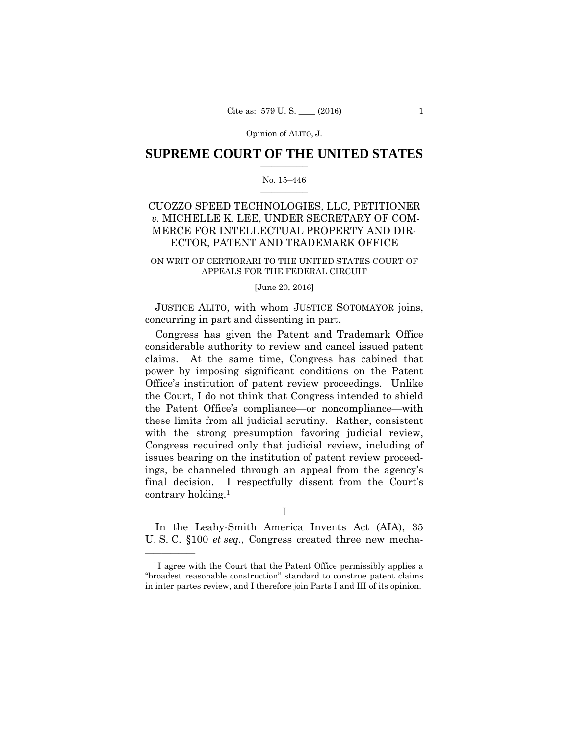## $\frac{1}{2}$  ,  $\frac{1}{2}$  ,  $\frac{1}{2}$  ,  $\frac{1}{2}$  ,  $\frac{1}{2}$  ,  $\frac{1}{2}$  ,  $\frac{1}{2}$ **SUPREME COURT OF THE UNITED STATES**

### $\frac{1}{2}$  ,  $\frac{1}{2}$  ,  $\frac{1}{2}$  ,  $\frac{1}{2}$  ,  $\frac{1}{2}$  ,  $\frac{1}{2}$ No. 15–446

# CUOZZO SPEED TECHNOLOGIES, LLC, PETITIONER *v.* MICHELLE K. LEE, UNDER SECRETARY OF COM-MERCE FOR INTELLECTUAL PROPERTY AND DIR-ECTOR, PATENT AND TRADEMARK OFFICE

# ON WRIT OF CERTIORARI TO THE UNITED STATES COURT OF APPEALS FOR THE FEDERAL CIRCUIT

### [June 20, 2016]

JUSTICE ALITO, with whom JUSTICE SOTOMAYOR joins, concurring in part and dissenting in part.

Congress has given the Patent and Trademark Office considerable authority to review and cancel issued patent claims. At the same time, Congress has cabined that power by imposing significant conditions on the Patent Office's institution of patent review proceedings. Unlike the Court, I do not think that Congress intended to shield the Patent Office's compliance—or noncompliance—with these limits from all judicial scrutiny. Rather, consistent with the strong presumption favoring judicial review, Congress required only that judicial review, including of issues bearing on the institution of patent review proceedings, be channeled through an appeal from the agency's final decision. I respectfully dissent from the Court's contrary holding.1

I

In the Leahy-Smith America Invents Act (AIA), 35 U. S. C. §100 *et seq.*, Congress created three new mecha-

<sup>&</sup>lt;sup>1</sup>I agree with the Court that the Patent Office permissibly applies a "broadest reasonable construction" standard to construe patent claims in inter partes review, and I therefore join Parts I and III of its opinion.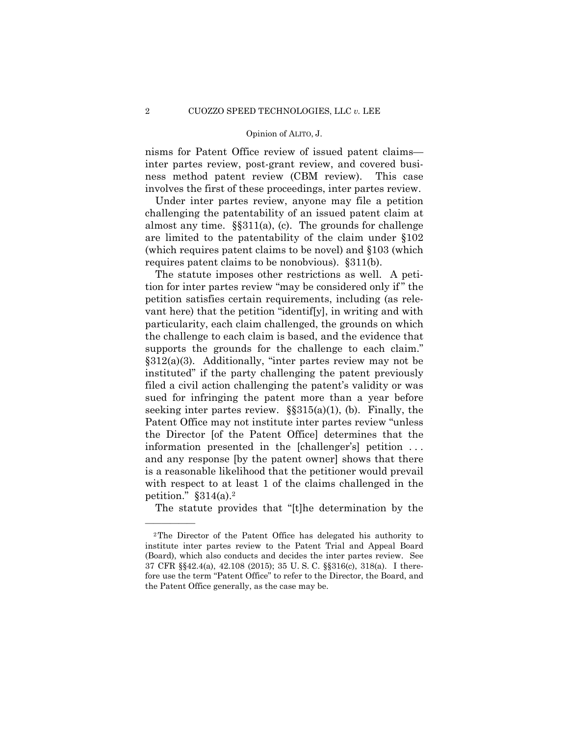### Opinion of ALITO, J. Opinion of ALITO, J.

nisms for Patent Office review of issued patent claims inter partes review, post-grant review, and covered business method patent review (CBM review). This case involves the first of these proceedings, inter partes review.

Under inter partes review, anyone may file a petition challenging the patentability of an issued patent claim at almost any time. §§311(a), (c). The grounds for challenge are limited to the patentability of the claim under §102 (which requires patent claims to be novel) and §103 (which requires patent claims to be nonobvious). §311(b).

The statute imposes other restrictions as well. A petition for inter partes review "may be considered only if " the petition satisfies certain requirements, including (as relevant here) that the petition "identif[y], in writing and with particularity, each claim challenged, the grounds on which the challenge to each claim is based, and the evidence that supports the grounds for the challenge to each claim." §312(a)(3). Additionally, "inter partes review may not be instituted" if the party challenging the patent previously filed a civil action challenging the patent's validity or was sued for infringing the patent more than a year before seeking inter partes review.  $\S$ §315(a)(1), (b). Finally, the Patent Office may not institute inter partes review "unless the Director [of the Patent Office] determines that the information presented in the [challenger's] petition . . . and any response [by the patent owner] shows that there is a reasonable likelihood that the petitioner would prevail with respect to at least 1 of the claims challenged in the petition."  $§314(a).^2$ 

The statute provides that "[t]he determination by the

<sup>2</sup>The Director of the Patent Office has delegated his authority to institute inter partes review to the Patent Trial and Appeal Board (Board), which also conducts and decides the inter partes review. See 37 CFR §§42.4(a), 42.108 (2015); 35 U. S. C. §§316(c), 318(a). I therefore use the term "Patent Office" to refer to the Director, the Board, and the Patent Office generally, as the case may be.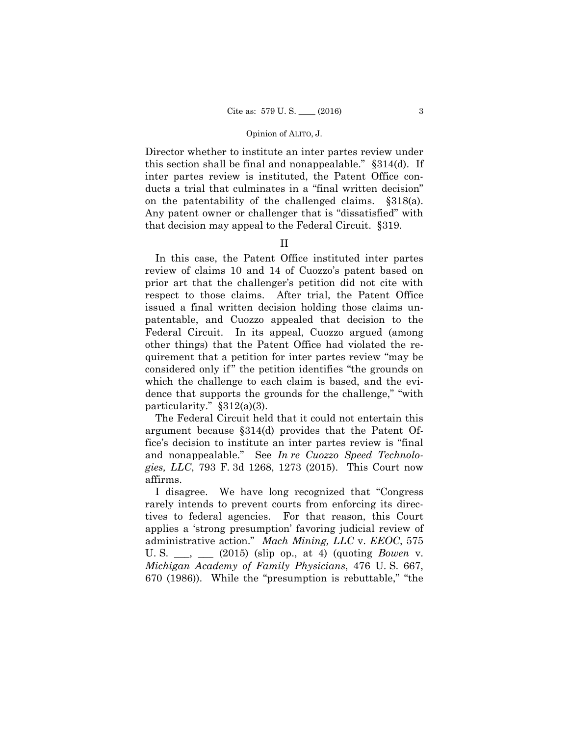Director whether to institute an inter partes review under this section shall be final and nonappealable." §314(d). If inter partes review is instituted, the Patent Office conducts a trial that culminates in a "final written decision" on the patentability of the challenged claims. §318(a). Any patent owner or challenger that is "dissatisfied" with that decision may appeal to the Federal Circuit. §319.

## II

In this case, the Patent Office instituted inter partes review of claims 10 and 14 of Cuozzo's patent based on prior art that the challenger's petition did not cite with respect to those claims. After trial, the Patent Office issued a final written decision holding those claims unpatentable, and Cuozzo appealed that decision to the Federal Circuit. In its appeal, Cuozzo argued (among other things) that the Patent Office had violated the requirement that a petition for inter partes review "may be considered only if" the petition identifies "the grounds on which the challenge to each claim is based, and the evidence that supports the grounds for the challenge," "with particularity." §312(a)(3).

The Federal Circuit held that it could not entertain this argument because §314(d) provides that the Patent Office's decision to institute an inter partes review is "final and nonappealable." See *In re Cuozzo Speed Technologies, LLC*, 793 F. 3d 1268, 1273 (2015). This Court now affirms.

I disagree. We have long recognized that "Congress rarely intends to prevent courts from enforcing its directives to federal agencies. For that reason, this Court applies a 'strong presumption' favoring judicial review of administrative action." *Mach Mining, LLC* v. *EEOC*, 575 U. S. \_\_\_, \_\_\_ (2015) (slip op., at 4) (quoting *Bowen* v. *Michigan Academy of Family Physicians*, 476 U. S. 667, 670 (1986)). While the "presumption is rebuttable," "the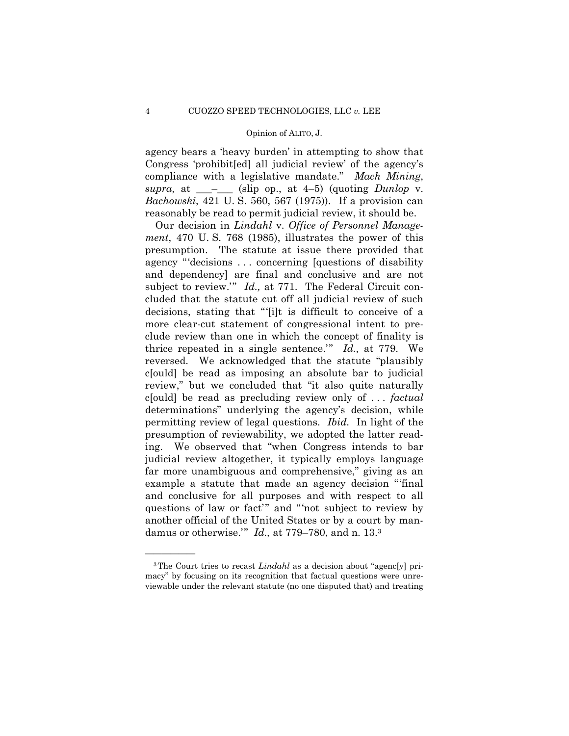agency bears a 'heavy burden' in attempting to show that Congress 'prohibit[ed] all judicial review' of the agency's compliance with a legislative mandate." *Mach Mining*,  $supra$ , at  $\_\_\_\_\_\$  (slip op., at 4–5) (quoting *Dunlop* v. *Bachowski*, 421 U. S. 560, 567 (1975)). If a provision can reasonably be read to permit judicial review, it should be.

 permitting review of legal questions. *Ibid.* In light of the Our decision in *Lindahl* v. *Office of Personnel Management*, 470 U. S. 768 (1985), illustrates the power of this presumption. The statute at issue there provided that agency "'decisions . . . concerning [questions of disability and dependency] are final and conclusive and are not subject to review." *Id.*, at 771. The Federal Circuit concluded that the statute cut off all judicial review of such decisions, stating that "'[i]t is difficult to conceive of a more clear-cut statement of congressional intent to preclude review than one in which the concept of finality is thrice repeated in a single sentence.'" *Id.,* at 779. We reversed. We acknowledged that the statute "plausibly c[ould] be read as imposing an absolute bar to judicial review," but we concluded that "it also quite naturally c[ould] be read as precluding review only of . . . *factual*  determinations" underlying the agency's decision, while presumption of reviewability, we adopted the latter reading. We observed that "when Congress intends to bar judicial review altogether, it typically employs language far more unambiguous and comprehensive," giving as an example a statute that made an agency decision "'final and conclusive for all purposes and with respect to all questions of law or fact'" and "'not subject to review by another official of the United States or by a court by mandamus or otherwise.'" *Id.,* at 779–780, and n. 13.3

<sup>&</sup>lt;sup>3</sup>The Court tries to recast *Lindahl* as a decision about "agenc[y] primacy" by focusing on its recognition that factual questions were unreviewable under the relevant statute (no one disputed that) and treating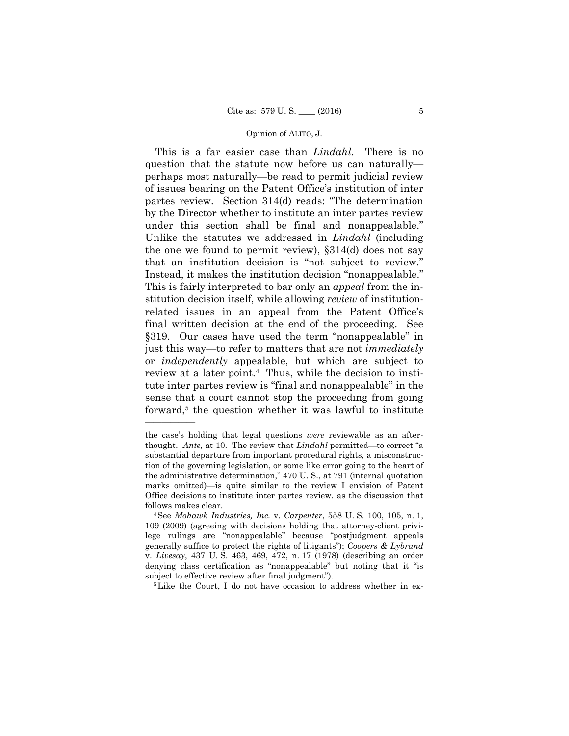This is a far easier case than *Lindahl*. There is no question that the statute now before us can naturally perhaps most naturally—be read to permit judicial review of issues bearing on the Patent Office's institution of inter partes review. Section 314(d) reads: "The determination by the Director whether to institute an inter partes review under this section shall be final and nonappealable." Unlike the statutes we addressed in *Lindahl* (including the one we found to permit review), §314(d) does not say that an institution decision is "not subject to review." Instead, it makes the institution decision "nonappealable." This is fairly interpreted to bar only an *appeal* from the institution decision itself, while allowing *review* of institutionrelated issues in an appeal from the Patent Office's final written decision at the end of the proceeding. See §319. Our cases have used the term "nonappealable" in just this way—to refer to matters that are not *immediately*  or *independently* appealable, but which are subject to review at a later point.4 Thus, while the decision to institute inter partes review is "final and nonappealable" in the sense that a court cannot stop the proceeding from going forward,<sup>5</sup> the question whether it was lawful to institute

follows makes clear. the case's holding that legal questions *were* reviewable as an afterthought. *Ante,* at 10. The review that *Lindahl* permitted—to correct "a substantial departure from important procedural rights, a misconstruction of the governing legislation, or some like error going to the heart of the administrative determination," 470 U. S., at 791 (internal quotation marks omitted)—is quite similar to the review I envision of Patent Office decisions to institute inter partes review, as the discussion that

<sup>&</sup>lt;sup>4</sup>See *Mohawk Industries, Inc. v. Carpenter*, 558 U. S. 100, 105, n. 1, 109 (2009) (agreeing with decisions holding that attorney-client privilege rulings are "nonappealable" because "postjudgment appeals generally suffice to protect the rights of litigants"); *Coopers & Lybrand*  v. *Livesay*, 437 U. S. 463, 469, 472, n. 17 (1978) (describing an order denying class certification as "nonappealable" but noting that it "is subject to effective review after final judgment").<br><sup>5</sup>Like the Court, I do not have occasion to address whether in ex-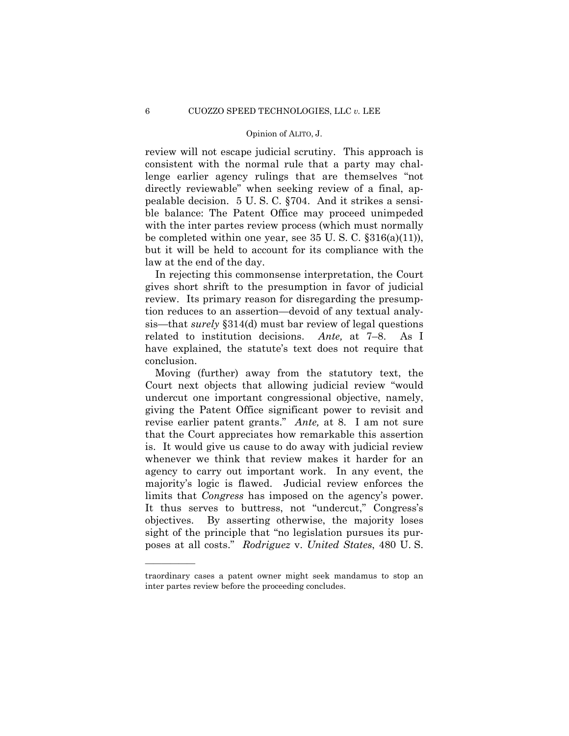### Opinion of ALITO, J. Opinion of ALITO, J.

review will not escape judicial scrutiny. This approach is consistent with the normal rule that a party may challenge earlier agency rulings that are themselves "not directly reviewable" when seeking review of a final, appealable decision. 5 U. S. C. §704. And it strikes a sensible balance: The Patent Office may proceed unimpeded with the inter partes review process (which must normally be completed within one year, see 35 U. S. C. §316(a)(11)), but it will be held to account for its compliance with the law at the end of the day.

 related to institution decisions. *Ante,* at 7–8. As I In rejecting this commonsense interpretation, the Court gives short shrift to the presumption in favor of judicial review. Its primary reason for disregarding the presumption reduces to an assertion—devoid of any textual analysis—that *surely* §314(d) must bar review of legal questions have explained, the statute's text does not require that conclusion.

Moving (further) away from the statutory text, the Court next objects that allowing judicial review "would undercut one important congressional objective, namely, giving the Patent Office significant power to revisit and revise earlier patent grants." *Ante,* at 8. I am not sure that the Court appreciates how remarkable this assertion is. It would give us cause to do away with judicial review whenever we think that review makes it harder for an agency to carry out important work. In any event, the majority's logic is flawed. Judicial review enforces the limits that *Congress* has imposed on the agency's power. It thus serves to buttress, not "undercut," Congress's objectives. By asserting otherwise, the majority loses sight of the principle that "no legislation pursues its purposes at all costs." *Rodriguez* v. *United States*, 480 U. S.

traordinary cases a patent owner might seek mandamus to stop an inter partes review before the proceeding concludes.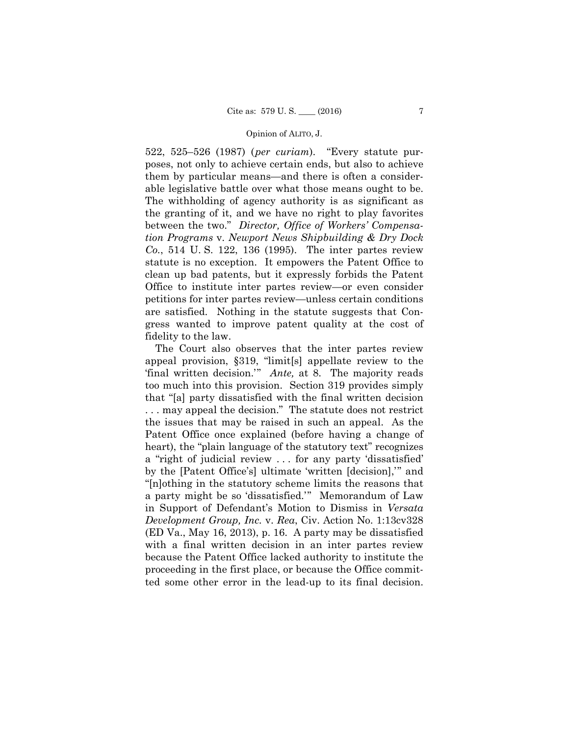522, 525–526 (1987) (*per curiam*). "Every statute purposes, not only to achieve certain ends, but also to achieve them by particular means—and there is often a considerable legislative battle over what those means ought to be. The withholding of agency authority is as significant as the granting of it, and we have no right to play favorites between the two." *Director, Office of Workers' Compensation Programs* v. *Newport News Shipbuilding & Dry Dock Co.*, 514 U. S. 122, 136 (1995). The inter partes review statute is no exception. It empowers the Patent Office to clean up bad patents, but it expressly forbids the Patent Office to institute inter partes review—or even consider petitions for inter partes review—unless certain conditions are satisfied. Nothing in the statute suggests that Congress wanted to improve patent quality at the cost of fidelity to the law.

The Court also observes that the inter partes review appeal provision, §319, "limit[s] appellate review to the 'final written decision.'" *Ante,* at 8. The majority reads too much into this provision. Section 319 provides simply that "[a] party dissatisfied with the final written decision . . . may appeal the decision." The statute does not restrict the issues that may be raised in such an appeal. As the Patent Office once explained (before having a change of heart), the "plain language of the statutory text" recognizes a "right of judicial review . . . for any party 'dissatisfied' by the [Patent Office's] ultimate 'written [decision],'" and "[n]othing in the statutory scheme limits the reasons that a party might be so 'dissatisfied.'" Memorandum of Law in Support of Defendant's Motion to Dismiss in *Versata Development Group, Inc.* v. *Rea*, Civ. Action No. 1:13cv328 (ED Va., May 16, 2013), p. 16. A party may be dissatisfied with a final written decision in an inter partes review because the Patent Office lacked authority to institute the proceeding in the first place, or because the Office committed some other error in the lead-up to its final decision.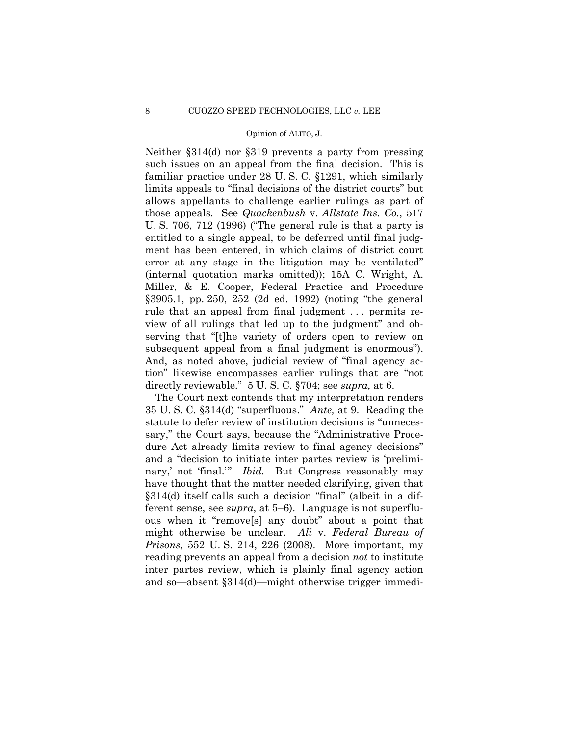### Opinion of ALITO, J. Opinion of ALITO, J.

Neither §314(d) nor §319 prevents a party from pressing such issues on an appeal from the final decision. This is familiar practice under 28 U. S. C. §1291, which similarly limits appeals to "final decisions of the district courts" but allows appellants to challenge earlier rulings as part of those appeals. See *Quackenbush* v. *Allstate Ins. Co.*, 517 U. S. 706, 712 (1996) ("The general rule is that a party is entitled to a single appeal, to be deferred until final judgment has been entered, in which claims of district court error at any stage in the litigation may be ventilated" (internal quotation marks omitted)); 15A C. Wright, A. Miller, & E. Cooper, Federal Practice and Procedure §3905.1, pp. 250, 252 (2d ed. 1992) (noting "the general rule that an appeal from final judgment . . . permits review of all rulings that led up to the judgment" and observing that "[t]he variety of orders open to review on subsequent appeal from a final judgment is enormous"). And, as noted above, judicial review of "final agency action" likewise encompasses earlier rulings that are "not directly reviewable." 5 U. S. C. §704; see *supra,* at 6.

The Court next contends that my interpretation renders 35 U. S. C. §314(d) "superfluous." *Ante,* at 9. Reading the statute to defer review of institution decisions is "unnecessary," the Court says, because the "Administrative Procedure Act already limits review to final agency decisions" and a "decision to initiate inter partes review is 'preliminary,' not 'final.'" *Ibid.* But Congress reasonably may have thought that the matter needed clarifying, given that §314(d) itself calls such a decision "final" (albeit in a different sense, see *supra*, at 5–6). Language is not superfluous when it "remove[s] any doubt" about a point that might otherwise be unclear. *Ali* v. *Federal Bureau of Prisons*, 552 U. S. 214, 226 (2008). More important, my reading prevents an appeal from a decision *not* to institute inter partes review, which is plainly final agency action and so—absent §314(d)—might otherwise trigger immedi-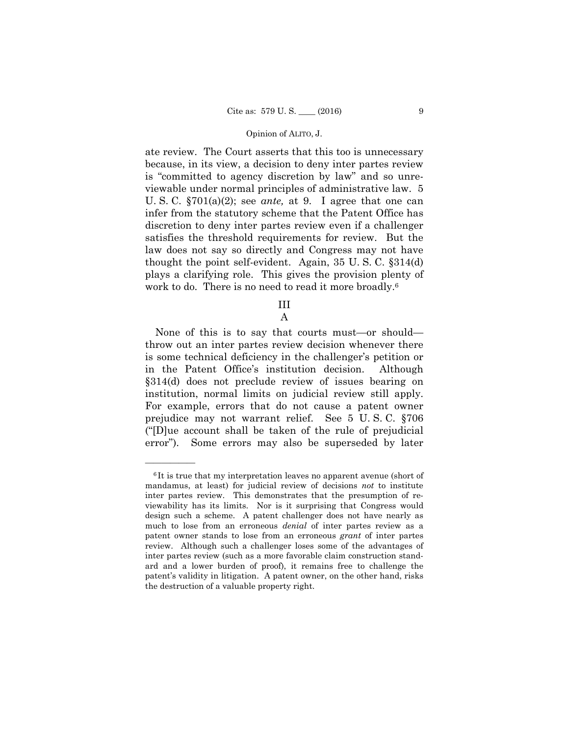ate review. The Court asserts that this too is unnecessary because, in its view, a decision to deny inter partes review is "committed to agency discretion by law" and so unreviewable under normal principles of administrative law. 5 U. S. C. §701(a)(2); see *ante,* at 9. I agree that one can infer from the statutory scheme that the Patent Office has discretion to deny inter partes review even if a challenger satisfies the threshold requirements for review. But the law does not say so directly and Congress may not have thought the point self-evident. Again, 35 U. S. C. §314(d) plays a clarifying role. This gives the provision plenty of work to do. There is no need to read it more broadly.<sup>6</sup>

> III A

None of this is to say that courts must—or should throw out an inter partes review decision whenever there is some technical deficiency in the challenger's petition or in the Patent Office's institution decision. Although §314(d) does not preclude review of issues bearing on institution, normal limits on judicial review still apply. For example, errors that do not cause a patent owner prejudice may not warrant relief. See 5 U. S. C. §706 ("[D]ue account shall be taken of the rule of prejudicial error"). Some errors may also be superseded by later

 much to lose from an erroneous *denial* of inter partes review as a <sup>6</sup>It is true that my interpretation leaves no apparent avenue (short of mandamus, at least) for judicial review of decisions *not* to institute inter partes review. This demonstrates that the presumption of reviewability has its limits. Nor is it surprising that Congress would design such a scheme. A patent challenger does not have nearly as patent owner stands to lose from an erroneous *grant* of inter partes review. Although such a challenger loses some of the advantages of inter partes review (such as a more favorable claim construction standard and a lower burden of proof), it remains free to challenge the patent's validity in litigation. A patent owner, on the other hand, risks the destruction of a valuable property right.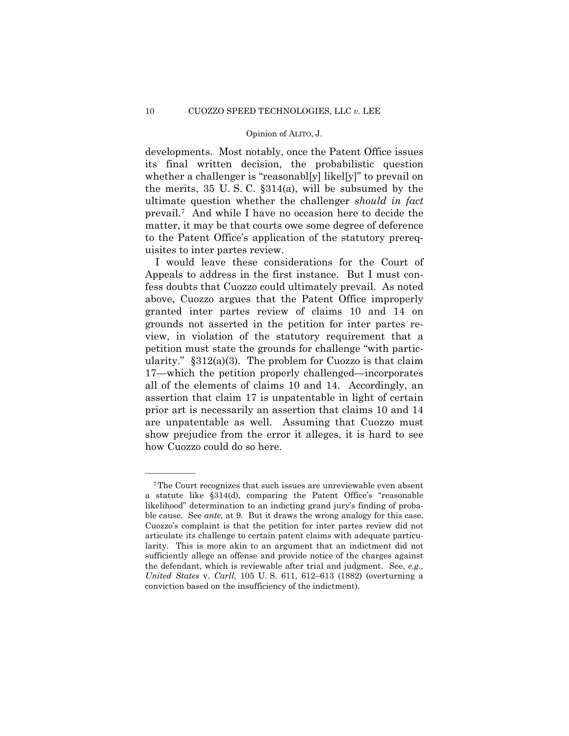### Opinion of ALITO, J. Opinion of ALITO, J.

developments. Most notably, once the Patent Office issues its final written decision, the probabilistic question whether a challenger is "reasonabl[y] likel[y]" to prevail on the merits, 35 U. S. C. §314(a), will be subsumed by the ultimate question whether the challenger *should in fact*  prevail.7 And while I have no occasion here to decide the matter, it may be that courts owe some degree of deference to the Patent Office's application of the statutory prerequisites to inter partes review.

I would leave these considerations for the Court of Appeals to address in the first instance. But I must confess doubts that Cuozzo could ultimately prevail. As noted above, Cuozzo argues that the Patent Office improperly granted inter partes review of claims 10 and 14 on grounds not asserted in the petition for inter partes review, in violation of the statutory requirement that a petition must state the grounds for challenge "with particularity."  $\S 312(a)(3)$ . The problem for Cuozzo is that claim 17—which the petition properly challenged—incorporates all of the elements of claims 10 and 14. Accordingly, an assertion that claim 17 is unpatentable in light of certain prior art is necessarily an assertion that claims 10 and 14 are unpatentable as well. Assuming that Cuozzo must show prejudice from the error it alleges, it is hard to see how Cuozzo could do so here.

<sup>7</sup>The Court recognizes that such issues are unreviewable even absent a statute like §314(d), comparing the Patent Office's "reasonable likelihood" determination to an indicting grand jury's finding of probable cause. See *ante,* at 9. But it draws the wrong analogy for this case. Cuozzo's complaint is that the petition for inter partes review did not articulate its challenge to certain patent claims with adequate particularity. This is more akin to an argument that an indictment did not sufficiently allege an offense and provide notice of the charges against the defendant, which is reviewable after trial and judgment. See, *e.g., United States* v. *Carll*, 105 U. S. 611, 612–613 (1882) (overturning a conviction based on the insufficiency of the indictment).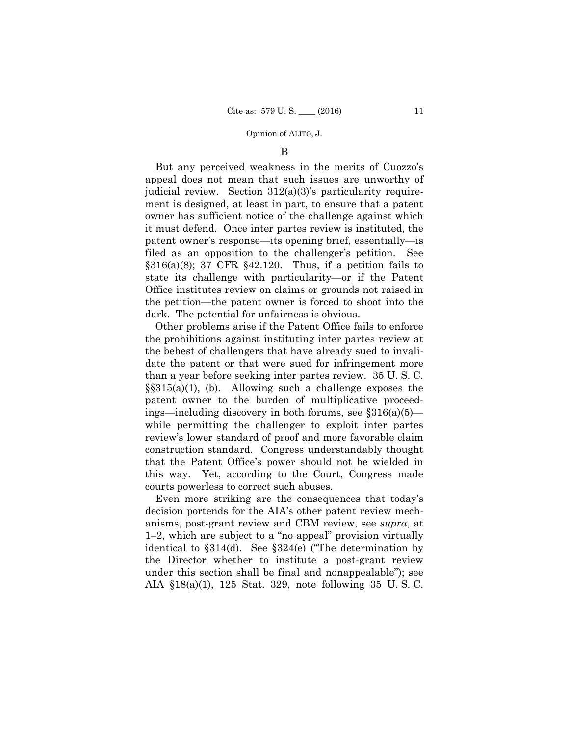### B

But any perceived weakness in the merits of Cuozzo's appeal does not mean that such issues are unworthy of judicial review. Section 312(a)(3)'s particularity requirement is designed, at least in part, to ensure that a patent owner has sufficient notice of the challenge against which it must defend. Once inter partes review is instituted, the patent owner's response—its opening brief, essentially—is filed as an opposition to the challenger's petition. See  $§316(a)(8); 37 \text{ CFR } $42.120.$  Thus, if a petition fails to state its challenge with particularity—or if the Patent Office institutes review on claims or grounds not raised in the petition—the patent owner is forced to shoot into the dark. The potential for unfairness is obvious.

Other problems arise if the Patent Office fails to enforce the prohibitions against instituting inter partes review at the behest of challengers that have already sued to invalidate the patent or that were sued for infringement more than a year before seeking inter partes review. 35 U. S. C.  $\S$ §315(a)(1), (b). Allowing such a challenge exposes the patent owner to the burden of multiplicative proceedings—including discovery in both forums, see  $$316(a)(5)$  while permitting the challenger to exploit inter partes review's lower standard of proof and more favorable claim construction standard. Congress understandably thought that the Patent Office's power should not be wielded in this way. Yet, according to the Court, Congress made courts powerless to correct such abuses.

Even more striking are the consequences that today's decision portends for the AIA's other patent review mechanisms, post-grant review and CBM review, see *supra*, at 1–2, which are subject to a "no appeal" provision virtually identical to §314(d). See §324(e) ("The determination by the Director whether to institute a post-grant review under this section shall be final and nonappealable"); see AIA §18(a)(1), 125 Stat. 329, note following 35 U. S. C.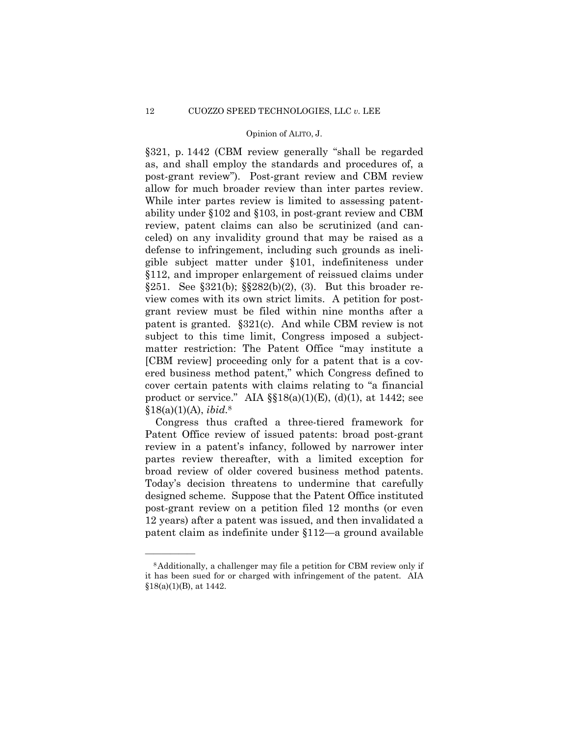### Opinion of ALITO, J. Opinion of ALITO, J.

§321, p. 1442 (CBM review generally "shall be regarded as, and shall employ the standards and procedures of, a post-grant review"). Post-grant review and CBM review allow for much broader review than inter partes review. While inter partes review is limited to assessing patentability under §102 and §103, in post-grant review and CBM review, patent claims can also be scrutinized (and canceled) on any invalidity ground that may be raised as a defense to infringement, including such grounds as ineligible subject matter under §101, indefiniteness under §112, and improper enlargement of reissued claims under §251. See §321(b); §§282(b)(2), (3). But this broader review comes with its own strict limits. A petition for postgrant review must be filed within nine months after a patent is granted. §321(c). And while CBM review is not subject to this time limit, Congress imposed a subjectmatter restriction: The Patent Office "may institute a [CBM review] proceeding only for a patent that is a covered business method patent," which Congress defined to cover certain patents with claims relating to "a financial product or service." AIA  $\S$  $18(a)(1)(E)$ ,  $(d)(1)$ , at 1442; see §18(a)(1)(A), *ibid.*<sup>8</sup>

Congress thus crafted a three-tiered framework for Patent Office review of issued patents: broad post-grant review in a patent's infancy, followed by narrower inter partes review thereafter, with a limited exception for broad review of older covered business method patents. Today's decision threatens to undermine that carefully designed scheme. Suppose that the Patent Office instituted post-grant review on a petition filed 12 months (or even 12 years) after a patent was issued, and then invalidated a patent claim as indefinite under §112—a ground available

<sup>8</sup>Additionally, a challenger may file a petition for CBM review only if it has been sued for or charged with infringement of the patent. AIA  $$18(a)(1)(B)$ , at  $1442$ .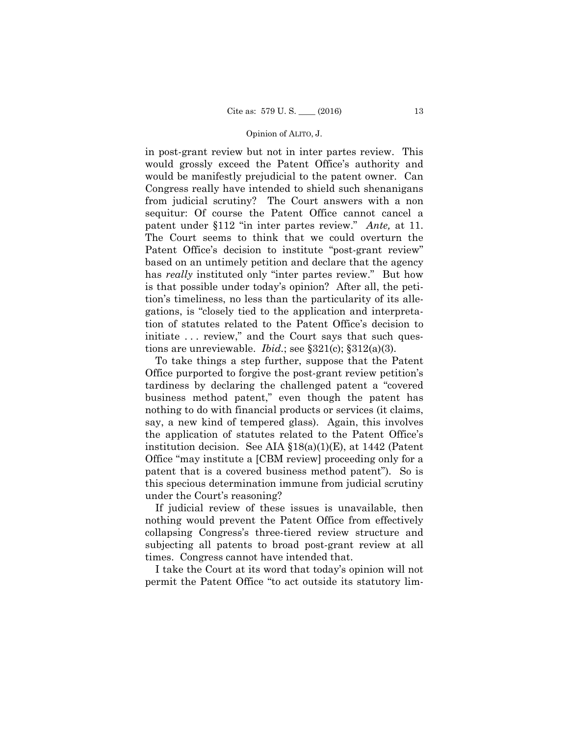in post-grant review but not in inter partes review. This would grossly exceed the Patent Office's authority and would be manifestly prejudicial to the patent owner. Can Congress really have intended to shield such shenanigans from judicial scrutiny? The Court answers with a non sequitur: Of course the Patent Office cannot cancel a patent under §112 "in inter partes review." *Ante,* at 11. The Court seems to think that we could overturn the Patent Office's decision to institute "post-grant review" based on an untimely petition and declare that the agency has *really* instituted only "inter partes review." But how is that possible under today's opinion? After all, the petition's timeliness, no less than the particularity of its allegations, is "closely tied to the application and interpretation of statutes related to the Patent Office's decision to initiate ... review," and the Court says that such questions are unreviewable. *Ibid.*; see §321(c); §312(a)(3).

To take things a step further, suppose that the Patent Office purported to forgive the post-grant review petition's tardiness by declaring the challenged patent a "covered business method patent," even though the patent has nothing to do with financial products or services (it claims, say, a new kind of tempered glass). Again, this involves the application of statutes related to the Patent Office's institution decision. See AIA §18(a)(1)(E), at 1442 (Patent Office "may institute a [CBM review] proceeding only for a patent that is a covered business method patent"). So is this specious determination immune from judicial scrutiny under the Court's reasoning?

If judicial review of these issues is unavailable, then nothing would prevent the Patent Office from effectively collapsing Congress's three-tiered review structure and subjecting all patents to broad post-grant review at all times. Congress cannot have intended that.

I take the Court at its word that today's opinion will not permit the Patent Office "to act outside its statutory lim-